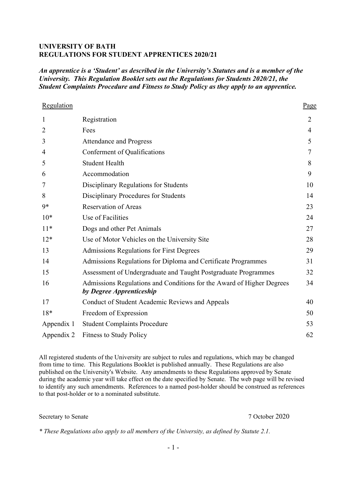### **UNIVERSITY OF BATH REGULATIONS FOR STUDENT APPRENTICES 2020/21**

*An apprentice is a 'Student' as described in the University's Statutes and is a member of the University. This Regulation Booklet sets out the Regulations for Students 2020/21, the Student Complaints Procedure and Fitness to Study Policy as they apply to an apprentice.*

| Regulation     |                                                                                                   | Page           |
|----------------|---------------------------------------------------------------------------------------------------|----------------|
| $\mathbf{1}$   | Registration                                                                                      | $\overline{2}$ |
| $\overline{2}$ | Fees                                                                                              | 4              |
| 3              | <b>Attendance and Progress</b>                                                                    | 5              |
| $\overline{4}$ | Conferment of Qualifications                                                                      | 7              |
| 5              | <b>Student Health</b>                                                                             | 8              |
| 6              | Accommodation                                                                                     | 9              |
| 7              | Disciplinary Regulations for Students                                                             | 10             |
| 8              | Disciplinary Procedures for Students                                                              | 14             |
| $9*$           | <b>Reservation of Areas</b>                                                                       | 23             |
| $10*$          | Use of Facilities                                                                                 | 24             |
| $11*$          | Dogs and other Pet Animals                                                                        | 27             |
| $12*$          | Use of Motor Vehicles on the University Site                                                      | 28             |
| 13             | <b>Admissions Regulations for First Degrees</b>                                                   | 29             |
| 14             | Admissions Regulations for Diploma and Certificate Programmes                                     | 31             |
| 15             | Assessment of Undergraduate and Taught Postgraduate Programmes                                    | 32             |
| 16             | Admissions Regulations and Conditions for the Award of Higher Degrees<br>by Degree Apprenticeship | 34             |
| 17             | Conduct of Student Academic Reviews and Appeals                                                   | 40             |
| $18*$          | Freedom of Expression                                                                             | 50             |
| Appendix 1     | <b>Student Complaints Procedure</b>                                                               | 53             |
| Appendix 2     | <b>Fitness to Study Policy</b>                                                                    | 62             |

All registered students of the University are subject to rules and regulations, which may be changed from time to time. This Regulations Booklet is published annually. These Regulations are also published on the University's Website. Any amendments to these Regulations approved by Senate during the academic year will take effect on the date specified by Senate. The web page will be revised to identify any such amendments. References to a named post-holder should be construed as references to that post-holder or to a nominated substitute.

Secretary to Senate 7 October 2020

*\* These Regulations also apply to all members of the University, as defined by Statute 2.1.*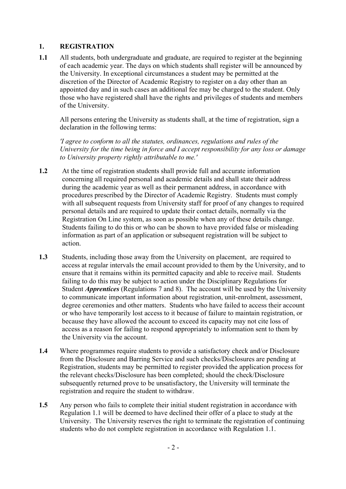# **1. REGISTRATION**

**1.1** All students, both undergraduate and graduate, are required to register at the beginning of each academic year. The days on which students shall register will be announced by the University. In exceptional circumstances a student may be permitted at the discretion of the Director of Academic Registry to register on a day other than an appointed day and in such cases an additional fee may be charged to the student. Only those who have registered shall have the rights and privileges of students and members of the University.

All persons entering the University as students shall, at the time of registration, sign a declaration in the following terms:

*'I agree to conform to all the statutes, ordinances, regulations and rules of the University for the time being in force and I accept responsibility for any loss or damage to University property rightly attributable to me.'*

- **1.2** At the time of registration students shall provide full and accurate information concerning all required personal and academic details and shall state their address during the academic year as well as their permanent address, in accordance with procedures prescribed by the Director of Academic Registry. Students must comply with all subsequent requests from University staff for proof of any changes to required personal details and are required to update their contact details, normally via the Registration On Line system, as soon as possible when any of these details change. Students failing to do this or who can be shown to have provided false or misleading information as part of an application or subsequent registration will be subject to action.
- **1.3** Students, including those away from the University on placement, are required to access at regular intervals the email account provided to them by the University, and to ensure that it remains within its permitted capacity and able to receive mail. Students failing to do this may be subject to action under the Disciplinary Regulations for Student *Apprentices* (Regulations 7 and 8). The account will be used by the University to communicate important information about registration, unit-enrolment, assessment, degree ceremonies and other matters. Students who have failed to access their account or who have temporarily lost access to it because of failure to maintain registration, or because they have allowed the account to exceed its capacity may not cite loss of access as a reason for failing to respond appropriately to information sent to them by the University via the account.
- **1.4** Where programmes require students to provide a satisfactory check and/or Disclosure from the Disclosure and Barring Service and such checks/Disclosures are pending at Registration, students may be permitted to register provided the application process for the relevant checks/Disclosure has been completed; should the check/Disclosure subsequently returned prove to be unsatisfactory, the University will terminate the registration and require the student to withdraw.
- **1.5** Any person who fails to complete their initial student registration in accordance with Regulation 1.1 will be deemed to have declined their offer of a place to study at the University. The University reserves the right to terminate the registration of continuing students who do not complete registration in accordance with Regulation 1.1.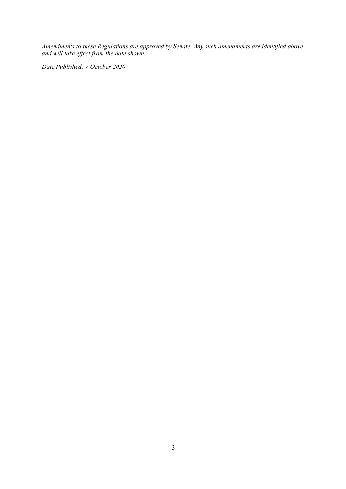*Amendments to these Regulations are approved by Senate. Any such amendments are identified above and will take effect from the date shown.*

*Date Published: 7 October 2020*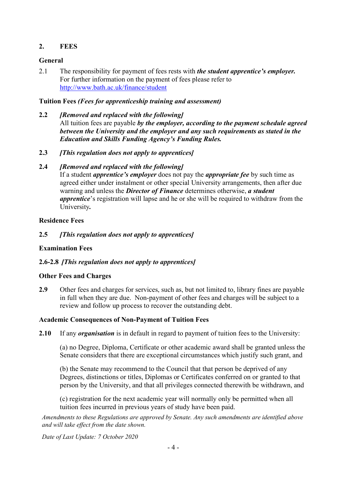# **2. FEES**

# **General**

2.1 The responsibility for payment of fees rests with *the student apprentice's employer.* For further information on the payment of fees please refer to <http://www.bath.ac.uk/finance/student>

# **Tuition Fees** *(Fees for apprenticeship training and assessment)*

**2.2** *[Removed and replaced with the following]*

All tuition fees are payable *by the employer, according to the payment schedule agreed between the University and the employer and any such requirements as stated in the Education and Skills Funding Agency's Funding Rules.*

- **2.3** *[This regulation does not apply to apprentices]*
- **2.4** *[Removed and replaced with the following]*

If a student *apprentice's employer* does not pay the *appropriate fee* by such time as agreed either under instalment or other special University arrangements, then after due warning and unless the *Director of Finance* determines otherwise, *a student apprentice*'s registration will lapse and he or she will be required to withdraw from the University*.* 

## **Residence Fees**

**2.5** *[This regulation does not apply to apprentices]*

# **Examination Fees**

# **2.6-2.8** *[This regulation does not apply to apprentices]*

## **Other Fees and Charges**

**2.9** Other fees and charges for services, such as, but not limited to, library fines are payable in full when they are due. Non-payment of other fees and charges will be subject to a review and follow up process to recover the outstanding debt.

## **Academic Consequences of Non-Payment of Tuition Fees**

**2.10** If any *organisation* is in default in regard to payment of tuition fees to the University:

(a) no Degree, Diploma, Certificate or other academic award shall be granted unless the Senate considers that there are exceptional circumstances which justify such grant, and

(b) the Senate may recommend to the Council that that person be deprived of any Degrees, distinctions or titles, Diplomas or Certificates conferred on or granted to that person by the University, and that all privileges connected therewith be withdrawn, and

(c) registration for the next academic year will normally only be permitted when all tuition fees incurred in previous years of study have been paid.

*Amendments to these Regulations are approved by Senate. Any such amendments are identified above and will take effect from the date shown.*

*Date of Last Update: 7 October 2020*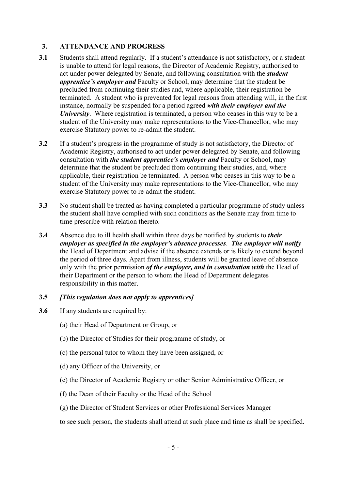# **3. ATTENDANCE AND PROGRESS**

- **3.1** Students shall attend regularly. If a student's attendance is not satisfactory, or a student is unable to attend for legal reasons, the Director of Academic Registry, authorised to act under power delegated by Senate, and following consultation with the *student apprentice's employer and* Faculty or School, may determine that the student be precluded from continuing their studies and, where applicable, their registration be terminated. A student who is prevented for legal reasons from attending will, in the first instance, normally be suspended for a period agreed *with their employer and the University*. Where registration is terminated, a person who ceases in this way to be a student of the University may make representations to the Vice-Chancellor, who may exercise Statutory power to re-admit the student.
- **3.2** If a student's progress in the programme of study is not satisfactory, the Director of Academic Registry, authorised to act under power delegated by Senate, and following consultation with *the student apprentice's employer and* Faculty or School, may determine that the student be precluded from continuing their studies, and, where applicable, their registration be terminated. A person who ceases in this way to be a student of the University may make representations to the Vice-Chancellor, who may exercise Statutory power to re-admit the student.
- **3.3** No student shall be treated as having completed a particular programme of study unless the student shall have complied with such conditions as the Senate may from time to time prescribe with relation thereto.
- **3.4** Absence due to ill health shall within three days be notified by students to *their employer as specified in the employer's absence processes*. *The employer will notify*  the Head of Department and advise if the absence extends or is likely to extend beyond the period of three days. Apart from illness, students will be granted leave of absence only with the prior permission *of the employer, and in consultation with* the Head of their Department or the person to whom the Head of Department delegates responsibility in this matter.

## **3.5** *[This regulation does not apply to apprentices]*

- **3.6** If any students are required by:
	- (a) their Head of Department or Group, or
	- (b) the Director of Studies for their programme of study, or
	- (c) the personal tutor to whom they have been assigned, or
	- (d) any Officer of the University, or
	- (e) the Director of Academic Registry or other Senior Administrative Officer, or
	- (f) the Dean of their Faculty or the Head of the School
	- (g) the Director of Student Services or other Professional Services Manager

to see such person, the students shall attend at such place and time as shall be specified.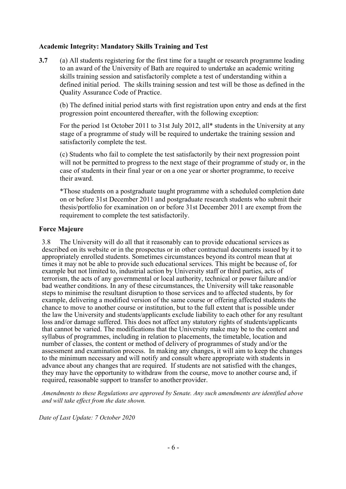### **Academic Integrity: Mandatory Skills Training and Test**

**3.7** (a) All students registering for the first time for a taught or research programme leading to an award of the University of Bath are required to undertake an academic writing skills training session and satisfactorily complete a test of understanding within a defined initial period. The skills training session and test will be those as defined in the Quality Assurance Code of Practice.

(b) The defined initial period starts with first registration upon entry and ends at the first progression point encountered thereafter, with the following exception:

For the period 1st October 2011 to 31st July 2012, all\* students in the University at any stage of a programme of study will be required to undertake the training session and satisfactorily complete the test.

(c) Students who fail to complete the test satisfactorily by their next progression point will not be permitted to progress to the next stage of their programme of study or, in the case of students in their final year or on a one year or shorter programme, to receive their award.

\*Those students on a postgraduate taught programme with a scheduled completion date on or before 31st December 2011 and postgraduate research students who submit their thesis/portfolio for examination on or before 31st December 2011 are exempt from the requirement to complete the test satisfactorily.

#### **Force Majeure**

3.8 The University will do all that it reasonably can to provide educational services as described on its website or in the prospectus or in other contractual documents issued by it to appropriately enrolled students. Sometimes circumstances beyond its control mean that at times it may not be able to provide such educational services. This might be because of, for example but not limited to, industrial action by University staff or third parties, acts of terrorism, the acts of any governmental or local authority, technical or power failure and/or bad weather conditions. In any of these circumstances, the University will take reasonable steps to minimise the resultant disruption to those services and to affected students, by for example, delivering a modified version of the same course or offering affected students the chance to move to another course or institution, but to the full extent that is possible under the law the University and students/applicants exclude liability to each other for any resultant loss and/or damage suffered. This does not affect any statutory rights of students/applicants that cannot be varied. The modifications that the University make may be to the content and syllabus of programmes, including in relation to placements, the timetable, location and number of classes, the content or method of delivery of programmes of study and/or the assessment and examination process. In making any changes, it will aim to keep the changes to the minimum necessary and will notify and consult where appropriate with students in advance about any changes that are required. If students are not satisfied with the changes, they may have the opportunity to withdraw from the course, move to another course and, if required, reasonable support to transfer to another provider.

*Amendments to these Regulations are approved by Senate. Any such amendments are identified above and will take effect from the date shown.*

*Date of Last Update: 7 October 2020*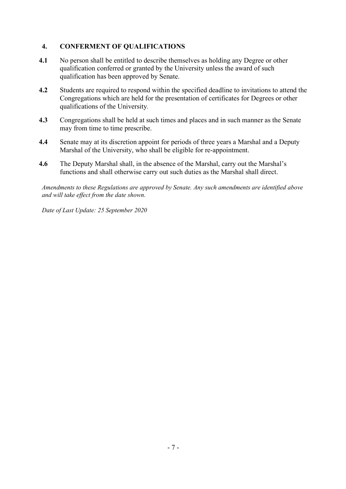# **4. CONFERMENT OF QUALIFICATIONS**

- **4.1** No person shall be entitled to describe themselves as holding any Degree or other qualification conferred or granted by the University unless the award of such qualification has been approved by Senate.
- **4.2** Students are required to respond within the specified deadline to invitations to attend the Congregations which are held for the presentation of certificates for Degrees or other qualifications of the University*.*
- **4.3** Congregations shall be held at such times and places and in such manner as the Senate may from time to time prescribe.
- **4.4** Senate may at its discretion appoint for periods of three years a Marshal and a Deputy Marshal of the University, who shall be eligible for re-appointment.
- **4.6** The Deputy Marshal shall, in the absence of the Marshal, carry out the Marshal's functions and shall otherwise carry out such duties as the Marshal shall direct.

*Amendments to these Regulations are approved by Senate. Any such amendments are identified above and will take effect from the date shown.*

*Date of Last Update: 25 September 2020*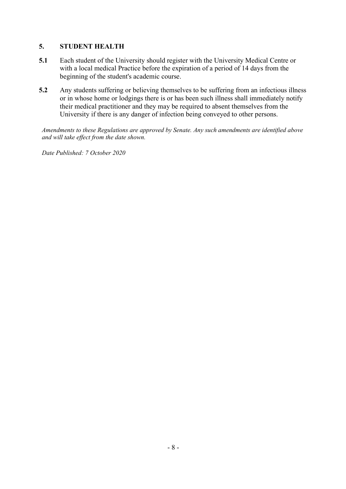# **5. STUDENT HEALTH**

- **5.1** Each student of the University should register with the University Medical Centre or with a local medical Practice before the expiration of a period of 14 days from the beginning of the student's academic course.
- **5.2** Any students suffering or believing themselves to be suffering from an infectious illness or in whose home or lodgings there is or has been such illness shall immediately notify their medical practitioner and they may be required to absent themselves from the University if there is any danger of infection being conveyed to other persons.

*Amendments to these Regulations are approved by Senate. Any such amendments are identified above and will take effect from the date shown.*

*Date Published: 7 October 2020*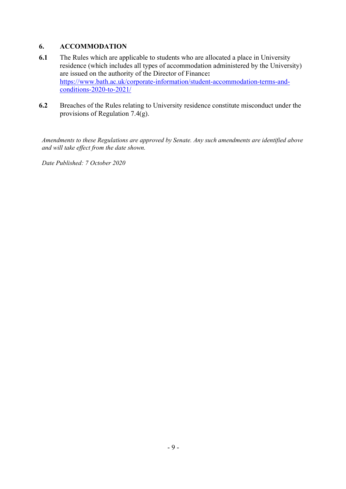# **6. ACCOMMODATION**

- **6.1** The Rules which are applicable to students who are allocated a place in University residence (which includes all types of accommodation administered by the University) are issued on the authority of the Director of Finance**:**  [https://www.bath.ac.uk/corporate-information/student-accommodation-terms-and](https://www.bath.ac.uk/corporate-information/student-accommodation-terms-and-conditions-2020-to-2021/)[conditions-2020-to-2021/](https://www.bath.ac.uk/corporate-information/student-accommodation-terms-and-conditions-2020-to-2021/)
- **6.2** Breaches of the Rules relating to University residence constitute misconduct under the provisions of Regulation 7.4(g).

*Amendments to these Regulations are approved by Senate. Any such amendments are identified above and will take effect from the date shown.*

*Date Published: 7 October 2020*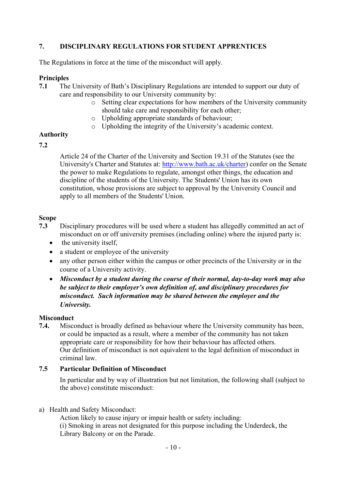# **7. DISCIPLINARY REGULATIONS FOR STUDENT APPRENTICES**

The Regulations in force at the time of the misconduct will apply.

### **Principles**

- **7.1** The University of Bath's Disciplinary Regulations are intended to support our duty of care and responsibility to our University community by:
	- o Setting clear expectations for how members of the University community should take care and responsibility for each other;
	- o Upholding appropriate standards of behaviour;
	- o Upholding the integrity of the University's academic context.

## **Authority**

### **7.2**

Article 24 of the Charter of the University and Section 19.31 of the Statutes (see the University's Charter and Statutes at: [http://www.bath.ac.uk/charter\)](http://www.bath.ac.uk/charter) confer on the Senate the power to make Regulations to regulate, amongst other things, the education and discipline of the students of the University. The Students' Union has its own constitution, whose provisions are subject to approval by the University Council and apply to all members of the Students' Union.

### **Scope**

- **7.3** Disciplinary procedures will be used where a student has allegedly committed an act of misconduct on or off university premises (including online) where the injured party is:
	- the university itself,
	- a student or employee of the university
	- any other person either within the campus or other precincts of the University or in the course of a University activity.
	- *Misconduct by a student during the course of their normal, day-to-day work may also be subject to their employer's own definition of, and disciplinary procedures for misconduct. Such information may be shared between the employer and the University.*

#### **Misconduct**

**7.4.** Misconduct is broadly defined as behaviour where the University community has been, or could be impacted as a result, where a member of the community has not taken appropriate care or responsibility for how their behaviour has affected others. Our definition of misconduct is not equivalent to the legal definition of misconduct in criminal law.

### **7.5 Particular Definition of Misconduct**

In particular and by way of illustration but not limitation, the following shall (subject to the above) constitute misconduct:

#### a) Health and Safety Misconduct:

 Action likely to cause injury or impair health or safety including: (i) Smoking in areas not designated for this purpose including the Underdeck, the Library Balcony or on the Parade.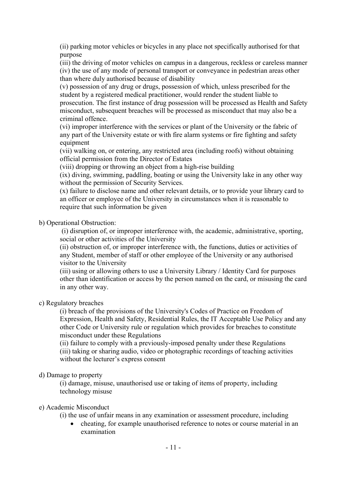(ii) parking motor vehicles or bicycles in any place not specifically authorised for that purpose

(iii) the driving of motor vehicles on campus in a dangerous, reckless or careless manner (iv) the use of any mode of personal transport or conveyance in pedestrian areas other than where duly authorised because of disability

(v) possession of any drug or drugs, possession of which, unless prescribed for the student by a registered medical practitioner, would render the student liable to prosecution. The first instance of drug possession will be processed as Health and Safety misconduct, subsequent breaches will be processed as misconduct that may also be a criminal offence.

(vi) improper interference with the services or plant of the University or the fabric of any part of the University estate or with fire alarm systems or fire fighting and safety equipment

(vii) walking on, or entering, any restricted area (including roofs) without obtaining official permission from the Director of Estates

(viii) dropping or throwing an object from a high-rise building

(ix) diving, swimming, paddling, boating or using the University lake in any other way without the permission of Security Services.

(x) failure to disclose name and other relevant details, or to provide your library card to an officer or employee of the University in circumstances when it is reasonable to require that such information be given

b) Operational Obstruction:

(i) disruption of, or improper interference with, the academic, administrative, sporting, social or other activities of the University

(ii) obstruction of, or improper interference with, the functions, duties or activities of any Student, member of staff or other employee of the University or any authorised visitor to the University

(iii) using or allowing others to use a University Library / Identity Card for purposes other than identification or access by the person named on the card, or misusing the card in any other way.

## c) Regulatory breaches

(i) breach of the provisions of the University's Codes of Practice on Freedom of Expression, Health and Safety, Residential Rules, the IT Acceptable Use Policy and any other Code or University rule or regulation which provides for breaches to constitute misconduct under these Regulations

(ii) failure to comply with a previously-imposed penalty under these Regulations (iii) taking or sharing audio, video or photographic recordings of teaching activities without the lecturer's express consent

#### d) Damage to property

(i) damage, misuse, unauthorised use or taking of items of property, including technology misuse

### e) Academic Misconduct

(i) the use of unfair means in any examination or assessment procedure, including

• cheating, for example unauthorised reference to notes or course material in an examination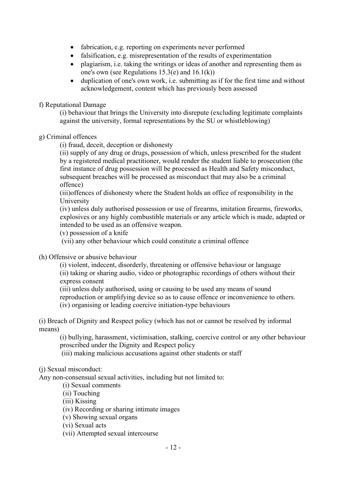- fabrication, e.g. reporting on experiments never performed
- falsification, e.g. misrepresentation of the results of experimentation
- plagiarism, i.e. taking the writings or ideas of another and representing them as one's own (see Regulations 15.3(e) and 16.1(k))
- duplication of one's own work, i.e. submitting as if for the first time and without acknowledgement, content which has previously been assessed

### f) Reputational Damage

(i) behaviour that brings the University into disrepute (excluding legitimate complaints against the university, formal representations by the SU or whistleblowing)

## g) Criminal offences

(i) fraud, deceit, deception or dishonesty

(ii) supply of any drug or drugs, possession of which, unless prescribed for the student by a registered medical practitioner, would render the student liable to prosecution (the first instance of drug possession will be processed as Health and Safety misconduct, subsequent breaches will be processed as misconduct that may also be a criminal offence)

(iii)offences of dishonesty where the Student holds an office of responsibility in the University

(iv) unless duly authorised possession or use of firearms, imitation firearms, fireworks, explosives or any highly combustible materials or any article which is made, adapted or intended to be used as an offensive weapon.

(v) possession of a knife

(vii) any other behaviour which could constitute a criminal offence

## (h) Offensive or abusive behaviour

(i) violent, indecent, disorderly, threatening or offensive behaviour or language (ii) taking or sharing audio, video or photographic recordings of others without their express consent

(iii) unless duly authorised, using or causing to be used any means of sound reproduction or amplifying device so as to cause offence or inconvenience to others. (iv) organising or leading coercive initiation-type behaviours

(i) Breach of Dignity and Respect policy (which has not or cannot be resolved by informal means)

(i) bullying, harassment, victimisation, stalking, coercive control or any other behaviour proscribed under the Dignity and Respect policy

(iii) making malicious accusations against other students or staff

## (j) Sexual misconduct:

Any non-consensual sexual activities, including but not limited to:

(i) Sexual comments

(ii) Touching

(iii) Kissing

(iv) Recording or sharing intimate images

(v) Showing sexual organs

(vi) Sexual acts

(vii) Attempted sexual intercourse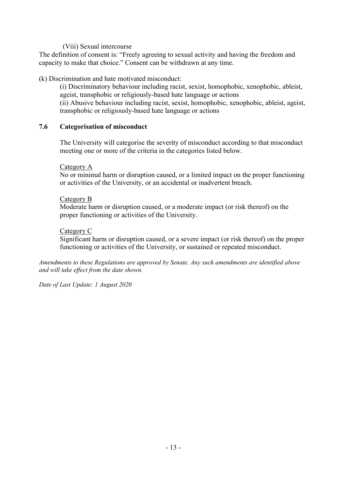### (Viii) Sexual intercourse

The definition of consent is: "Freely agreeing to sexual activity and having the freedom and capacity to make that choice." Consent can be withdrawn at any time.

### (k) Discrimination and hate motivated misconduct:

(i) Discriminatory behaviour including racist, sexist, homophobic, xenophobic, ableist, ageist, transphobic or religiously-based hate language or actions (ii) Abusive behaviour including racist, sexist, homophobic, xenophobic, ableist, ageist, transphobic or religiously-based hate language or actions

### **7.6 Categorisation of misconduct**

The University will categorise the severity of misconduct according to that misconduct meeting one or more of the criteria in the categories listed below.

#### Category A

No or minimal harm or disruption caused, or a limited impact on the proper functioning or activities of the University, or an accidental or inadvertent breach.

#### Category B

Moderate harm or disruption caused, or a moderate impact (or risk thereof) on the proper functioning or activities of the University.

#### Category C

Significant harm or disruption caused, or a severe impact (or risk thereof) on the proper functioning or activities of the University, or sustained or repeated misconduct.

*Amendments to these Regulations are approved by Senate. Any such amendments are identified above and will take effect from the date shown.* 

*Date of Last Update: 1 August 2020*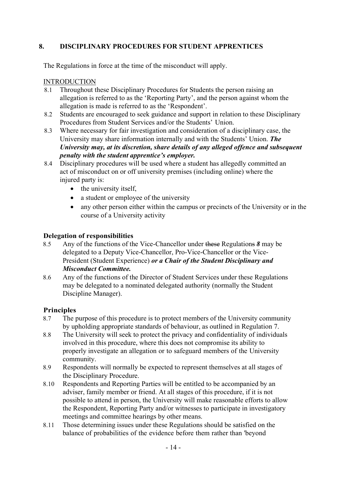# **8. DISCIPLINARY PROCEDURES FOR STUDENT APPRENTICES**

The Regulations in force at the time of the misconduct will apply.

### **INTRODUCTION**

- 8.1 Throughout these Disciplinary Procedures for Students the person raising an allegation is referred to as the 'Reporting Party', and the person against whom the allegation is made is referred to as the 'Respondent'.
- 8.2 Students are encouraged to seek guidance and support in relation to these Disciplinary Procedures from Student Services and/or the Students' Union.
- 8.3 Where necessary for fair investigation and consideration of a disciplinary case, the University may share information internally and with the Students' Union. *The University may, at its discretion, share details of any alleged offence and subsequent penalty with the student apprentice's employer.*
- 8.4 Disciplinary procedures will be used where a student has allegedly committed an act of misconduct on or off university premises (including online) where the injured party is:
	- the university itself,
	- a student or employee of the university
	- any other person either within the campus or precincts of the University or in the course of a University activity

## **Delegation of responsibilities**

- 8.5 Any of the functions of the Vice-Chancellor under these Regulations *8* may be delegated to a Deputy Vice-Chancellor, Pro-Vice-Chancellor or the Vice-President (Student Experience) *or a Chair of the Student Disciplinary and Misconduct Committee.*
- 8.6 Any of the functions of the Director of Student Services under these Regulations may be delegated to a nominated delegated authority (normally the Student Discipline Manager).

## **Principles**

- 8.7 The purpose of this procedure is to protect members of the University community by upholding appropriate standards of behaviour, as outlined in Regulation 7.
- 8.8 The University will seek to protect the privacy and confidentiality of individuals involved in this procedure, where this does not compromise its ability to properly investigate an allegation or to safeguard members of the University community.
- 8.9 Respondents will normally be expected to represent themselves at all stages of the Disciplinary Procedure.
- 8.10 Respondents and Reporting Parties will be entitled to be accompanied by an adviser, family member or friend. At all stages of this procedure, if it is not possible to attend in person, the University will make reasonable efforts to allow the Respondent, Reporting Party and/or witnesses to participate in investigatory meetings and committee hearings by other means.
- 8.11 Those determining issues under these Regulations should be satisfied on the balance of probabilities of the evidence before them rather than 'beyond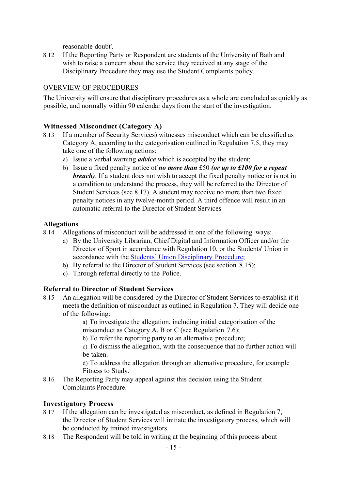reasonable doubt'.

8.12 If the Reporting Party or Respondent are students of the University of Bath and wish to raise a concern about the service they received at any stage of the Disciplinary Procedure they may use the Student Complaints policy.

# OVERVIEW OF PROCEDURES

The University will ensure that disciplinary procedures as a whole are concluded as quickly as possible, and normally within 90 calendar days from the start of the investigation.

## **Witnessed Misconduct (Category A)**

- 8.13 If a member of Security Services) witnesses misconduct which can be classified as Category A, according to the categorisation outlined in Regulation 7.5, they may take one of the following actions:
	- a) Issue a verbal warning *advice* which is accepted by the student;
	- b) Issue a fixed penalty notice of *no more than* £50 *(or up to £100 for a repeat breach)*. If a student does not wish to accept the fixed penalty notice or is not in a condition to understand the process, they will be referred to the Director of Student Services (see 8.17). A student may receive no more than two fixed penalty notices in any twelve-month period. A third offence will result in an automatic referral to the Director of Student Services

### **Allegations**

- 8.14 Allegations of misconduct will be addressed in one of the following ways:
	- a) By the University Librarian, Chief Digital and Information Officer and/or the Director of Sport in accordance with Regulation 10, or the Students' Union in accordance with the Students' Union Disciplinary Procedure;
	- b) By referral to the Director of Student Services (see section 8.15);
	- c) Through referral directly to the Police.

## **Referral to Director of Student Services**

8.15 An allegation will be considered by the Director of Student Services to establish if it meets the definition of misconduct as outlined in Regulation 7. They will decide one of the following:

> a) To investigate the allegation, including initial categorisation of the misconduct as Category A, B or C (see Regulation 7.6);

b) To refer the reporting party to an alternative procedure;

c) To dismiss the allegation, with the consequence that no further action will be taken.

d) To address the allegation through an alternative procedure, for example Fitness to Study.

8.16 The Reporting Party may appeal against this decision using the Student Complaints Procedure.

## **Investigatory Process**

- 8.17 If the allegation can be investigated as misconduct, as defined in Regulation 7, the Director of Student Services will initiate the investigatory process, which will be conducted by trained investigators.
- 8.18 The Respondent will be told in writing at the beginning of this process about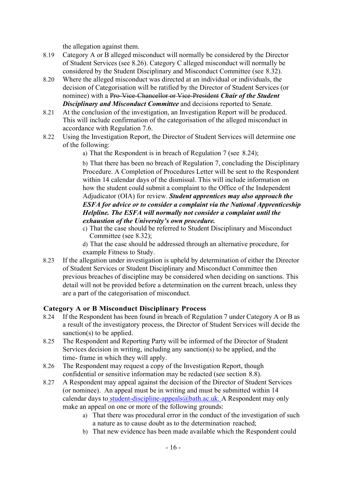the allegation against them.

- 8.19 Category A or B alleged misconduct will normally be considered by the Director of Student Services (see 8.26). Category C alleged misconduct will normally be considered by the Student Disciplinary and Misconduct Committee (see 8.32).
- 8.20 Where the alleged misconduct was directed at an individual or individuals, the decision of Categorisation will be ratified by the Director of Student Services (or nominee) with a Pro-Vice-Chancellor or Vice-President *Chair of the Student Disciplinary and Misconduct Committee* and decisions reported to Senate.
- 8.21 At the conclusion of the investigation, an Investigation Report will be produced. This will include confirmation of the categorisation of the alleged misconduct in accordance with Regulation 7.6.
- 8.22 Using the Investigation Report, the Director of Student Services will determine one of the following:
	- a) That the Respondent is in breach of Regulation 7 (see 8.24);

b) That there has been no breach of Regulation 7, concluding the Disciplinary Procedure. A Completion of Procedures Letter will be sent to the Respondent within 14 calendar days of the dismissal. This will include information on how the student could submit a complaint to the Office of the Independent Adjudicator (OIA) for review. *Student apprentices may also approach the ESFA for advice or to consider a complaint via the National Apprenticeship Helpline. The ESFA will normally not consider a complaint until the exhaustion of the University's own procedure.*

c) That the case should be referred to Student Disciplinary and Misconduct Committee (see 8.32);

d) That the case should be addressed through an alternative procedure, for example Fitness to Study.

8.23 If the allegation under investigation is upheld by determination of either the Director of Student Services or Student Disciplinary and Misconduct Committee then previous breaches of discipline may be considered when deciding on sanctions. This detail will not be provided before a determination on the current breach, unless they are a part of the categorisation of misconduct.

## **Category A or B Misconduct Disciplinary Process**

- 8.24 If the Respondent has been found in breach of Regulation 7 under Category A or B as a result of the investigatory process, the Director of Student Services will decide the sanction(s) to be applied.
- 8.25 The Respondent and Reporting Party will be informed of the Director of Student Services decision in writing, including any sanction(s) to be applied, and the time- frame in which they will apply.
- 8.26 The Respondent may request a copy of the Investigation Report, though confidential or sensitive information may be redacted (see section 8.8).
- 8.27 A Respondent may appeal against the decision of the Director of Student Services (or nominee). An appeal must be in writing and must be submitted within 14 calendar days to student-discipline-appeals  $@b$ ath.ac.uk. A Respondent may only make an appeal on one or more of the following grounds:
	- a) That there was procedural error in the conduct of the investigation of such a nature as to cause doubt as to the determination reached;
	- b) That new evidence has been made available which the Respondent could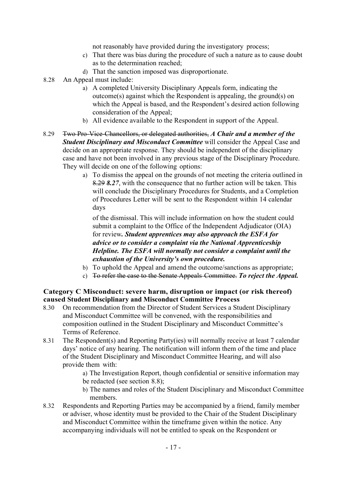not reasonably have provided during the investigatory process;

- c) That there was bias during the procedure of such a nature as to cause doubt as to the determination reached;
- d) That the sanction imposed was disproportionate.
- 8.28 An Appeal must include:
	- a) A completed University Disciplinary Appeals form, indicating the outcome(s) against which the Respondent is appealing, the ground(s) on which the Appeal is based, and the Respondent's desired action following consideration of the Appeal;
	- b) All evidence available to the Respondent in support of the Appeal.
- 8.29 Two Pro-Vice-Chancellors, or delegated authorities, *A Chair and a member of the Student Disciplinary and Misconduct Committee* will consider the Appeal Case and decide on an appropriate response. They should be independent of the disciplinary case and have not been involved in any previous stage of the Disciplinary Procedure. They will decide on one of the following options:
	- a) To dismiss the appeal on the grounds of not meeting the criteria outlined in 8.29 *8.27*, with the consequence that no further action will be taken. This will conclude the Disciplinary Procedures for Students, and a Completion of Procedures Letter will be sent to the Respondent within 14 calendar days

of the dismissal. This will include information on how the student could submit a complaint to the Office of the Independent Adjudicator (OIA) for review*. Student apprentices may also approach the ESFA for advice or to consider a complaint via the National Apprenticeship Helpline. The ESFA will normally not consider a complaint until the exhaustion of the University's own procedure.*

- b) To uphold the Appeal and amend the outcome/sanctions as appropriate;
- c) To refer the case to the Senate Appeals Committee. *To reject the Appeal.*

## **Category C Misconduct: severe harm, disruption or impact (or risk thereof) caused Student Disciplinary and Misconduct Committee Process**

- 8.30 On recommendation from the Director of Student Services a Student Disciplinary and Misconduct Committee will be convened, with the responsibilities and composition outlined in the Student Disciplinary and Misconduct Committee's Terms of Reference.
- 8.31 The Respondent(s) and Reporting Party(ies) will normally receive at least 7 calendar days' notice of any hearing. The notification will inform them of the time and place of the Student Disciplinary and Misconduct Committee Hearing, and will also provide them with:
	- a) The Investigation Report, though confidential or sensitive information may be redacted (see section 8.8);
	- b) The names and roles of the Student Disciplinary and Misconduct Committee members.
- 8.32 Respondents and Reporting Parties may be accompanied by a friend, family member or adviser, whose identity must be provided to the Chair of the Student Disciplinary and Misconduct Committee within the timeframe given within the notice. Any accompanying individuals will not be entitled to speak on the Respondent or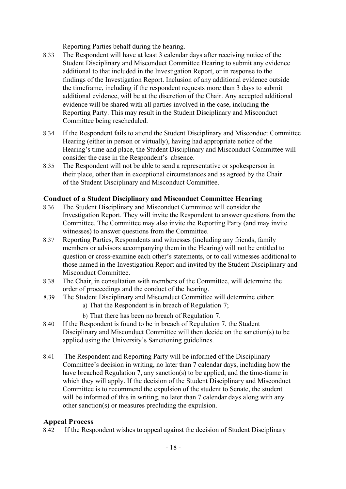Reporting Parties behalf during the hearing.

- 8.33 The Respondent will have at least 3 calendar days after receiving notice of the Student Disciplinary and Misconduct Committee Hearing to submit any evidence additional to that included in the Investigation Report, or in response to the findings of the Investigation Report. Inclusion of any additional evidence outside the timeframe, including if the respondent requests more than 3 days to submit additional evidence, will be at the discretion of the Chair. Any accepted additional evidence will be shared with all parties involved in the case, including the Reporting Party. This may result in the Student Disciplinary and Misconduct Committee being rescheduled.
- 8.34 If the Respondent fails to attend the Student Disciplinary and Misconduct Committee Hearing (either in person or virtually), having had appropriate notice of the Hearing's time and place, the Student Disciplinary and Misconduct Committee will consider the case in the Respondent's absence.
- 8.35 The Respondent will not be able to send a representative or spokesperson in their place, other than in exceptional circumstances and as agreed by the Chair of the Student Disciplinary and Misconduct Committee.

## **Conduct of a Student Disciplinary and Misconduct Committee Hearing**

- 8.36 The Student Disciplinary and Misconduct Committee will consider the Investigation Report. They will invite the Respondent to answer questions from the Committee. The Committee may also invite the Reporting Party (and may invite witnesses) to answer questions from the Committee.
- 8.37 Reporting Parties, Respondents and witnesses (including any friends, family members or advisors accompanying them in the Hearing) will not be entitled to question or cross-examine each other's statements, or to call witnesses additional to those named in the Investigation Report and invited by the Student Disciplinary and Misconduct Committee.
- 8.38 The Chair, in consultation with members of the Committee, will determine the order of proceedings and the conduct of the hearing.
- 8.39 The Student Disciplinary and Misconduct Committee will determine either:
	- a) That the Respondent is in breach of Regulation 7;
	- b) That there has been no breach of Regulation 7.
- 8.40 If the Respondent is found to be in breach of Regulation 7, the Student Disciplinary and Misconduct Committee will then decide on the sanction(s) to be applied using the University's Sanctioning guidelines.
- 8.41 The Respondent and Reporting Party will be informed of the Disciplinary Committee's decision in writing, no later than 7 calendar days, including how the have breached Regulation 7, any sanction(s) to be applied, and the time-frame in which they will apply. If the decision of the Student Disciplinary and Misconduct Committee is to recommend the expulsion of the student to Senate, the student will be informed of this in writing, no later than 7 calendar days along with any other sanction(s) or measures precluding the expulsion.

## **Appeal Process**

8.42 If the Respondent wishes to appeal against the decision of Student Disciplinary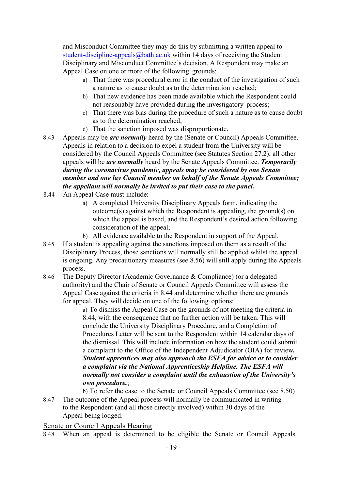and Misconduct Committee they may do this by submitting a written appeal to student[-discipline-appeals@bath.ac.uk](mailto:disciplinary-appeals@bath.ac.uk) within 14 days of receiving the Student Disciplinary and Misconduct Committee's decision. A Respondent may make an Appeal Case on one or more of the following grounds:

- a) That there was procedural error in the conduct of the investigation of such a nature as to cause doubt as to the determination reached;
- b) That new evidence has been made available which the Respondent could not reasonably have provided during the investigatory process;
- c) That there was bias during the procedure of such a nature as to cause doubt as to the determination reached;
- d) That the sanction imposed was disproportionate.
- 8.43 Appeals may be *are normally* heard by the (Senate or Council) Appeals Committee. Appeals in relation to a decision to expel a student from the University will be considered by the Council Appeals Committee (see Statutes Section 27.2); all other appeals will be *are normally* heard by the Senate Appeals Committee. *Temporarily during the coronavirus pandemic, appeals may be considered by one Senate member and one lay Council member on behalf of the Senate Appeals Committee; the appellant will normally be invited to put their case to the panel.*
- 8.44 An Appeal Case must include:
	- a) A completed University Disciplinary Appeals form, indicating the outcome(s) against which the Respondent is appealing, the ground(s) on which the appeal is based, and the Respondent's desired action following consideration of the appeal;
	- b) All evidence available to the Respondent in support of the Appeal.
- 8.45 If a student is appealing against the sanctions imposed on them as a result of the Disciplinary Process, those sanctions will normally still be applied whilst the appeal is ongoing. Any precautionary measures (see 8.56) will still apply during the Appeals process.
- 8.46 The Deputy Director (Academic Governance & Compliance) (or a delegated authority) and the Chair of Senate or Council Appeals Committee will assess the Appeal Case against the criteria in 8.44 and determine whether there are grounds for appeal. They will decide on one of the following options:

a) To dismiss the Appeal Case on the grounds of not meeting the criteria in 8.44, with the consequence that no further action will be taken. This will conclude the University Disciplinary Procedure, and a Completion of Procedures Letter will be sent to the Respondent within 14 calendar days of the dismissal. This will include information on how the student could submit a complaint to the Office of the Independent Adjudicator (OIA) for review*. Student apprentices may also approach the ESFA for advice or to consider a complaint via the National Apprenticeship Helpline. The ESFA will normally not consider a complaint until the exhaustion of the University's own procedure.*;

b) To refer the case to the Senate or Council Appeals Committee (see 8.50) 8.47 The outcome of the Appeal process will normally be communicated in writing to the Respondent (and all those directly involved) within 30 days of the

Appeal being lodged. Senate or Council Appeals Hearing

8.48 When an appeal is determined to be eligible the Senate or Council Appeals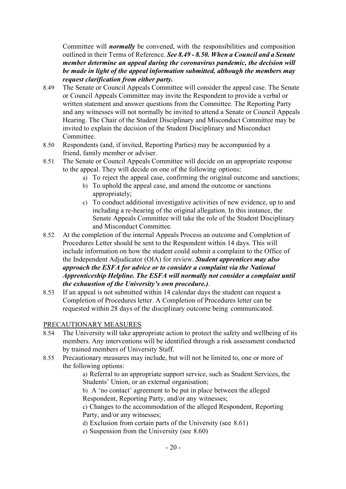Committee will *normally* be convened, with the responsibilities and composition outlined in their Terms of Reference. *See 8.49 - 8.50. When a Council and a Senate member determine an appeal during the coronavirus pandemic, the decision will be made in light of the appeal information submitted, although the members may request clarification from either party.*

- 8.49 The Senate or Council Appeals Committee will consider the appeal case. The Senate or Council Appeals Committee may invite the Respondent to provide a verbal or written statement and answer questions from the Committee. The Reporting Party and any witnesses will not normally be invited to attend a Senate or Council Appeals Hearing. The Chair of the Student Disciplinary and Misconduct Committee may be invited to explain the decision of the Student Disciplinary and Misconduct Committee.
- 8.50 Respondents (and, if invited, Reporting Parties) may be accompanied by a friend, family member or adviser.
- 8.51 The Senate or Council Appeals Committee will decide on an appropriate response to the appeal. They will decide on one of the following options:
	- a) To reject the appeal case, confirming the original outcome and sanctions;
	- b) To uphold the appeal case, and amend the outcome or sanctions appropriately;
	- c) To conduct additional investigative activities of new evidence, up to and including a re-hearing of the original allegation. In this instance, the Senate Appeals Committee will take the role of the Student Disciplinary and Misconduct Committee.
- 8.52 At the completion of the internal Appeals Process an outcome and Completion of Procedures Letter should be sent to the Respondent within 14 days. This will include information on how the student could submit a complaint to the Office of the Independent Adjudicator (OIA) for review. *Student apprentices may also approach the ESFA for advice or to consider a complaint via the National Apprenticeship Helpline. The ESFA will normally not consider a complaint until the exhaustion of the University's own procedure.)*.
- 8.53 If an appeal is not submitted within 14 calendar days the student can request a Completion of Procedures letter. A Completion of Procedures letter can be requested within 28 days of the disciplinary outcome being communicated.

#### PRECAUTIONARY MEASURES

- 8.54 The University will take appropriate action to protect the safety and wellbeing of its members. Any interventions will be identified through a risk assessment conducted by trained members of University Staff.
- 8.55 Precautionary measures may include, but will not be limited to, one or more of the following options:

a) Referral to an appropriate support service, such as Student Services, the Students' Union, or an external organisation;

b) A 'no contact' agreement to be put in place between the alleged Respondent, Reporting Party, and/or any witnesses;

c) Changes to the accommodation of the alleged Respondent, Reporting Party, and/or any witnesses;

d) Exclusion from certain parts of the University (see 8.61)

e) Suspension from the University (see 8.60)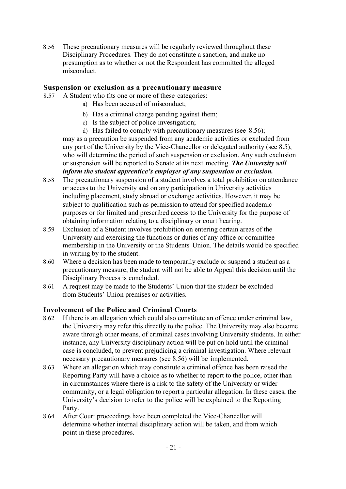8.56 These precautionary measures will be regularly reviewed throughout these Disciplinary Procedures. They do not constitute a sanction, and make no presumption as to whether or not the Respondent has committed the alleged misconduct.

### **Suspension or exclusion as a precautionary measure**

- 8.57 A Student who fits one or more of these categories:
	- a) Has been accused of misconduct;
	- b) Has a criminal charge pending against them;
	- c) Is the subject of police investigation;
	- d) Has failed to comply with precautionary measures (see 8.56);

may as a precaution be suspended from any academic activities or excluded from any part of the University by the Vice-Chancellor or delegated authority (see 8.5), who will determine the period of such suspension or exclusion. Any such exclusion or suspension will be reported to Senate at its next meeting. *The University will inform the student apprentice's employer of any suspension or exclusion.*

- 8.58 The precautionary suspension of a student involves a total prohibition on attendance or access to the University and on any participation in University activities including placement, study abroad or exchange activities. However, it may be subject to qualification such as permission to attend for specified academic purposes or for limited and prescribed access to the University for the purpose of obtaining information relating to a disciplinary or court hearing.
- 8.59 Exclusion of a Student involves prohibition on entering certain areas of the University and exercising the functions or duties of any office or committee membership in the University or the Students' Union. The details would be specified in writing by to the student.
- 8.60 Where a decision has been made to temporarily exclude or suspend a student as a precautionary measure, the student will not be able to Appeal this decision until the Disciplinary Process is concluded.
- 8.61 A request may be made to the Students' Union that the student be excluded from Students' Union premises or activities.

#### **Involvement of the Police and Criminal Courts**

- 8.62 If there is an allegation which could also constitute an offence under criminal law, the University may refer this directly to the police. The University may also become aware through other means, of criminal cases involving University students. In either instance, any University disciplinary action will be put on hold until the criminal case is concluded, to prevent prejudicing a criminal investigation. Where relevant necessary precautionary measures (see 8.56) will be implemented.
- 8.63 Where an allegation which may constitute a criminal offence has been raised the Reporting Party will have a choice as to whether to report to the police, other than in circumstances where there is a risk to the safety of the University or wider community, or a legal obligation to report a particular allegation. In these cases, the University's decision to refer to the police will be explained to the Reporting Party.
- 8.64 After Court proceedings have been completed the Vice-Chancellor will determine whether internal disciplinary action will be taken, and from which point in these procedures.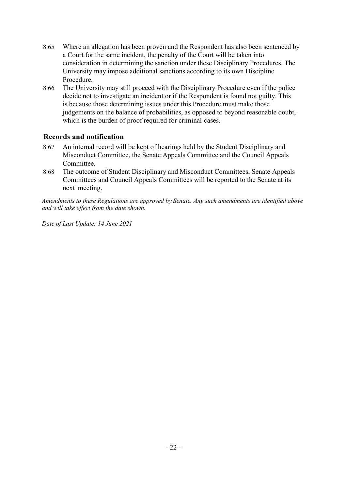- 8.65 Where an allegation has been proven and the Respondent has also been sentenced by a Court for the same incident, the penalty of the Court will be taken into consideration in determining the sanction under these Disciplinary Procedures. The University may impose additional sanctions according to its own Discipline Procedure.
- 8.66 The University may still proceed with the Disciplinary Procedure even if the police decide not to investigate an incident or if the Respondent is found not guilty. This is because those determining issues under this Procedure must make those judgements on the balance of probabilities, as opposed to beyond reasonable doubt, which is the burden of proof required for criminal cases.

## **Records and notification**

- 8.67 An internal record will be kept of hearings held by the Student Disciplinary and Misconduct Committee, the Senate Appeals Committee and the Council Appeals Committee.
- 8.68 The outcome of Student Disciplinary and Misconduct Committees, Senate Appeals Committees and Council Appeals Committees will be reported to the Senate at its next meeting.

*Amendments to these Regulations are approved by Senate. Any such amendments are identified above and will take effect from the date shown.*

*Date of Last Update: 14 June 2021*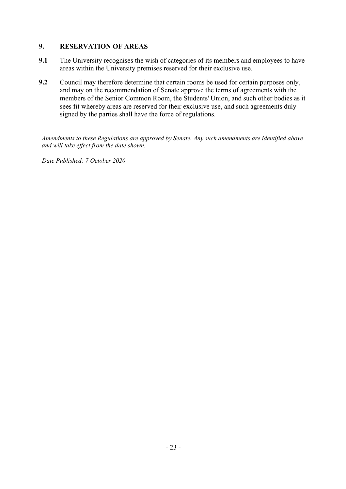# **9. RESERVATION OF AREAS**

- **9.1** The University recognises the wish of categories of its members and employees to have areas within the University premises reserved for their exclusive use.
- **9.2** Council may therefore determine that certain rooms be used for certain purposes only, and may on the recommendation of Senate approve the terms of agreements with the members of the Senior Common Room, the Students' Union, and such other bodies as it sees fit whereby areas are reserved for their exclusive use, and such agreements duly signed by the parties shall have the force of regulations.

*Amendments to these Regulations are approved by Senate. Any such amendments are identified above and will take effect from the date shown.*

*Date Published: 7 October 2020*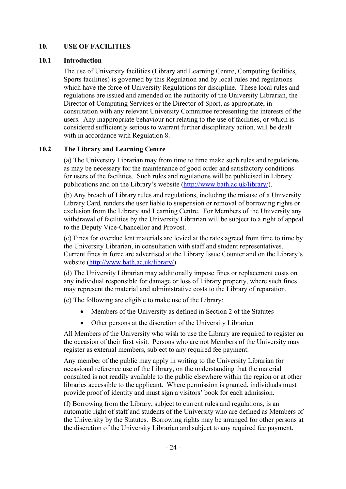# **10. USE OF FACILITIES**

### **10.1 Introduction**

The use of University facilities (Library and Learning Centre, Computing facilities, Sports facilities) is governed by this Regulation and by local rules and regulations which have the force of University Regulations for discipline. These local rules and regulations are issued and amended on the authority of the University Librarian, the Director of Computing Services or the Director of Sport, as appropriate, in consultation with any relevant University Committee representing the interests of the users. Any inappropriate behaviour not relating to the use of facilities, or which is considered sufficiently serious to warrant further disciplinary action, will be dealt with in accordance with Regulation 8.

## **10.2 The Library and Learning Centre**

(a) The University Librarian may from time to time make such rules and regulations as may be necessary for the maintenance of good order and satisfactory conditions for users of the facilities. Such rules and regulations will be publicised in Library publications and on the Library's website [\(http://www.bath.ac.uk/library/\)](http://www.bath.ac.uk/library/).

(b) Any breach of Library rules and regulations, including the misuse of a University Library Card*,* renders the user liable to suspension or removal of borrowing rights or exclusion from the Library and Learning Centre. For Members of the University any withdrawal of facilities by the University Librarian will be subject to a right of appeal to the Deputy Vice-Chancellor and Provost.

(c) Fines for overdue lent materials are levied at the rates agreed from time to time by the University Librarian, in consultation with staff and student representatives. Current fines in force are advertised at the Library Issue Counter and on the Library's website [\(http://www.bath.ac.uk/library/\)](http://www.bath.ac.uk/library/).

(d) The University Librarian may additionally impose fines or replacement costs on any individual responsible for damage or loss of Library property, where such fines may represent the material and administrative costs to the Library of reparation.

(e) The following are eligible to make use of the Library:

- Members of the University as defined in Section 2 of the Statutes
- Other persons at the discretion of the University Librarian

All Members of the University who wish to use the Library are required to register on the occasion of their first visit. Persons who are not Members of the University may register as external members, subject to any required fee payment.

Any member of the public may apply in writing to the University Librarian for occasional reference use of the Library, on the understanding that the material consulted is not readily available to the public elsewhere within the region or at other libraries accessible to the applicant. Where permission is granted, individuals must provide proof of identity and must sign a visitors' book for each admission.

(f) Borrowing from the Library, subject to current rules and regulations, is an automatic right of staff and students of the University who are defined as Members of the University by the Statutes. Borrowing rights may be arranged for other persons at the discretion of the University Librarian and subject to any required fee payment.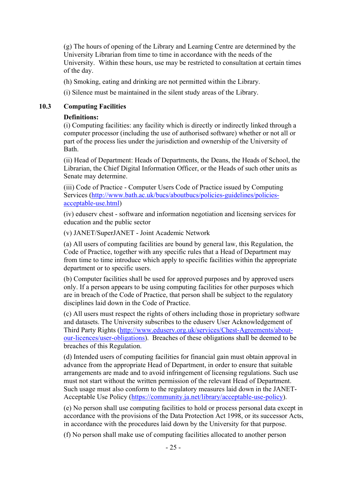(g) The hours of opening of the Library and Learning Centre are determined by the University Librarian from time to time in accordance with the needs of the University. Within these hours, use may be restricted to consultation at certain times of the day.

(h) Smoking, eating and drinking are not permitted within the Library.

(i) Silence must be maintained in the silent study areas of the Library.

### **10.3 Computing Facilities**

#### **Definitions:**

(i) Computing facilities: any facility which is directly or indirectly linked through a computer processor (including the use of authorised software) whether or not all or part of the process lies under the jurisdiction and ownership of the University of Bath.

(ii) Head of Department: Heads of Departments, the Deans, the Heads of School, the Librarian, the Chief Digital Information Officer, or the Heads of such other units as Senate may determine.

(iii) Code of Practice - Computer Users Code of Practice issued by Computing Services [\(http://www.bath.ac.uk/bucs/aboutbucs/policies-guidelines/policies](http://www.bath.ac.uk/bucs/aboutbucs/policies-guidelines/policies-acceptable-use.html)[acceptable-use.html\)](http://www.bath.ac.uk/bucs/aboutbucs/policies-guidelines/policies-acceptable-use.html)

(iv) eduserv chest - software and information negotiation and licensing services for education and the public sector

(v) JANET/SuperJANET - Joint Academic Network

(a) All users of computing facilities are bound by general law, this Regulation, the Code of Practice, together with any specific rules that a Head of Department may from time to time introduce which apply to specific facilities within the appropriate department or to specific users.

(b) Computer facilities shall be used for approved purposes and by approved users only. If a person appears to be using computing facilities for other purposes which are in breach of the Code of Practice, that person shall be subject to the regulatory disciplines laid down in the Code of Practice.

(c) All users must respect the rights of others including those in proprietary software and datasets. The University subscribes to the eduserv User Acknowledgement of Third Party Rights [\(http://www.eduserv.org.uk/services/Chest-Agreements/about](http://www.eduserv.org.uk/services/Chest-Agreements/about-our-licences/user-obligations)[our-licences/user-obligations\)](http://www.eduserv.org.uk/services/Chest-Agreements/about-our-licences/user-obligations). Breaches of these obligations shall be deemed to be breaches of this Regulation.

(d) Intended users of computing facilities for financial gain must obtain approval in advance from the appropriate Head of Department, in order to ensure that suitable arrangements are made and to avoid infringement of licensing regulations. Such use must not start without the written permission of the relevant Head of Department. Such usage must also conform to the regulatory measures laid down in the JANET-Acceptable Use Policy [\(https://community.ja.net/library/acceptable-use-policy\)](https://community.ja.net/library/acceptable-use-policy).

(e) No person shall use computing facilities to hold or process personal data except in accordance with the provisions of the Data Protection Act 1998, or its successor Acts, in accordance with the procedures laid down by the University for that purpose.

(f) No person shall make use of computing facilities allocated to another person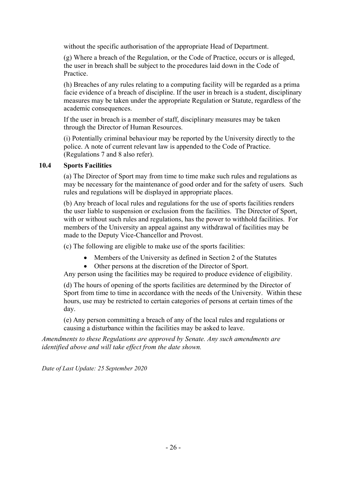without the specific authorisation of the appropriate Head of Department.

(g) Where a breach of the Regulation, or the Code of Practice, occurs or is alleged, the user in breach shall be subject to the procedures laid down in the Code of Practice.

(h) Breaches of any rules relating to a computing facility will be regarded as a prima facie evidence of a breach of discipline. If the user in breach is a student, disciplinary measures may be taken under the appropriate Regulation or Statute, regardless of the academic consequences.

If the user in breach is a member of staff, disciplinary measures may be taken through the Director of Human Resources.

(i) Potentially criminal behaviour may be reported by the University directly to the police. A note of current relevant law is appended to the Code of Practice. (Regulations 7 and 8 also refer).

# **10.4 Sports Facilities**

(a) The Director of Sport may from time to time make such rules and regulations as may be necessary for the maintenance of good order and for the safety of users. Such rules and regulations will be displayed in appropriate places.

(b) Any breach of local rules and regulations for the use of sports facilities renders the user liable to suspension or exclusion from the facilities. The Director of Sport, with or without such rules and regulations, has the power to withhold facilities. For members of the University an appeal against any withdrawal of facilities may be made to the Deputy Vice-Chancellor and Provost.

(c) The following are eligible to make use of the sports facilities:

- Members of the University as defined in Section 2 of the Statutes
- Other persons at the discretion of the Director of Sport.

Any person using the facilities may be required to produce evidence of eligibility.

(d) The hours of opening of the sports facilities are determined by the Director of Sport from time to time in accordance with the needs of the University. Within these hours, use may be restricted to certain categories of persons at certain times of the day.

(e) Any person committing a breach of any of the local rules and regulations or causing a disturbance within the facilities may be asked to leave.

*Amendments to these Regulations are approved by Senate. Any such amendments are identified above and will take effect from the date shown.*

*Date of Last Update: 25 September 2020*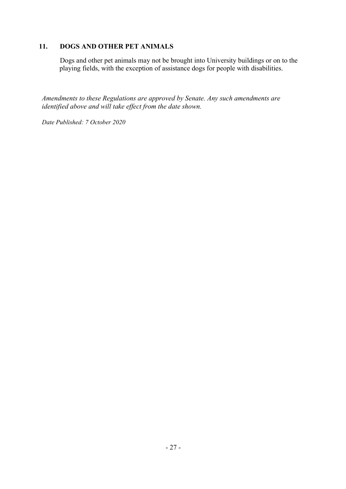# **11. DOGS AND OTHER PET ANIMALS**

Dogs and other pet animals may not be brought into University buildings or on to the playing fields, with the exception of assistance dogs for people with disabilities.

*Amendments to these Regulations are approved by Senate. Any such amendments are identified above and will take effect from the date shown.*

*Date Published: 7 October 2020*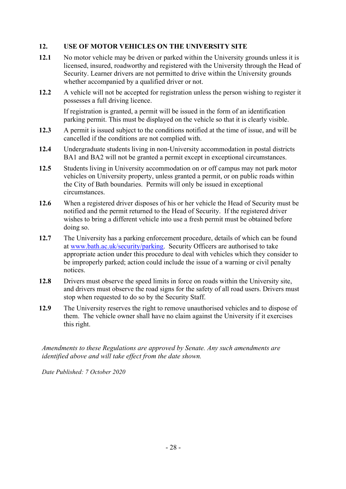# **12. USE OF MOTOR VEHICLES ON THE UNIVERSITY SITE**

- **12.1** No motor vehicle may be driven or parked within the University grounds unless it is licensed, insured, roadworthy and registered with the University through the Head of Security. Learner drivers are not permitted to drive within the University grounds whether accompanied by a qualified driver or not.
- **12.2** A vehicle will not be accepted for registration unless the person wishing to register it possesses a full driving licence.

If registration is granted, a permit will be issued in the form of an identification parking permit. This must be displayed on the vehicle so that it is clearly visible.

- **12.3** A permit is issued subject to the conditions notified at the time of issue, and will be cancelled if the conditions are not complied with.
- **12.4** Undergraduate students living in non-University accommodation in postal districts BA1 and BA2 will not be granted a permit except in exceptional circumstances.
- **12.5** Students living in University accommodation on or off campus may not park motor vehicles on University property, unless granted a permit, or on public roads within the City of Bath boundaries. Permits will only be issued in exceptional circumstances.
- **12.6** When a registered driver disposes of his or her vehicle the Head of Security must be notified and the permit returned to the Head of Security. If the registered driver wishes to bring a different vehicle into use a fresh permit must be obtained before doing so.
- **12.7** The University has a parking enforcement procedure, details of which can be found at [www.bath.ac.uk/security/parking.](http://www.bath.ac.uk/security/parking) Security Officers are authorised to take appropriate action under this procedure to deal with vehicles which they consider to be improperly parked; action could include the issue of a warning or civil penalty notices.
- **12.8** Drivers must observe the speed limits in force on roads within the University site, and drivers must observe the road signs for the safety of all road users. Drivers must stop when requested to do so by the Security Staff.
- **12.9** The University reserves the right to remove unauthorised vehicles and to dispose of them. The vehicle owner shall have no claim against the University if it exercises this right.

*Amendments to these Regulations are approved by Senate. Any such amendments are identified above and will take effect from the date shown.*

*Date Published: 7 October 2020*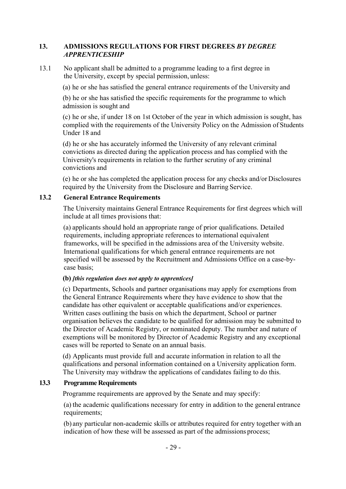## **13. ADMISSIONS REGULATIONS FOR FIRST DEGREES** *BY DEGREE APPRENTICESHIP*

13.1 No applicant shall be admitted to a programme leading to a first degree in the University, except by special permission, unless:

(a) he or she has satisfied the general entrance requirements of the University and

(b) he or she has satisfied the specific requirements for the programme to which admission is sought and

(c) he or she, if under 18 on 1st October of the year in which admission is sought, has complied with the requirements of the University Policy on the Admission of Students Under 18 and

(d) he or she has accurately informed the University of any relevant criminal convictions as directed during the application process and has complied with the University's requirements in relation to the further scrutiny of any criminal convictions and

(e) he or she has completed the application process for any checks and/or Disclosures required by the University from the Disclosure and Barring Service.

### **13.2 General Entrance Requirements**

The University maintains General Entrance Requirements for first degrees which will include at all times provisions that:

(a) applicants should hold an appropriate range of prior qualifications. Detailed requirements, including appropriate references to international equivalent frameworks, will be specified in the admissions area of the University website. International qualifications for which general entrance requirements are not specified will be assessed by the Recruitment and Admissions Office on a case-bycase basis;

#### **(b)** *[this regulation does not apply to apprentices]*

(c) Departments, Schools and partner organisations may apply for exemptions from the General Entrance Requirements where they have evidence to show that the candidate has other equivalent or acceptable qualifications and/or experiences. Written cases outlining the basis on which the department, School or partner organisation believes the candidate to be qualified for admission may be submitted to the Director of Academic Registry, or nominated deputy. The number and nature of exemptions will be monitored by Director of Academic Registry and any exceptional cases will be reported to Senate on an annual basis.

(d) Applicants must provide full and accurate information in relation to all the qualifications and personal information contained on a University application form. The University may withdraw the applications of candidates failing to do this.

## **13.3 Programme Requirements**

Programme requirements are approved by the Senate and may specify:

(a) the academic qualifications necessary for entry in addition to the general entrance requirements;

(b) any particular non-academic skills or attributes required for entry together with an indication of how these will be assessed as part of the admissions process;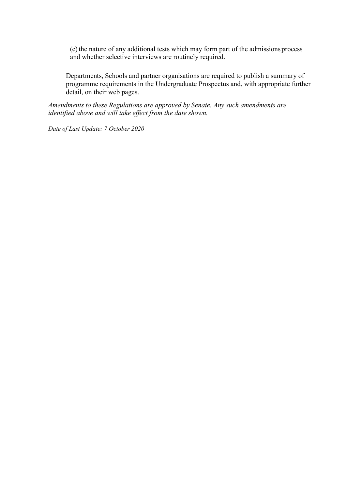(c)the nature of any additional tests which may form part of the admissions process and whether selective interviews are routinely required.

Departments, Schools and partner organisations are required to publish a summary of programme requirements in the Undergraduate Prospectus and, with appropriate further detail, on their web pages.

*Amendments to these Regulations are approved by Senate. Any such amendments are identified above and will take effect from the date shown.*

*Date of Last Update: 7 October 2020*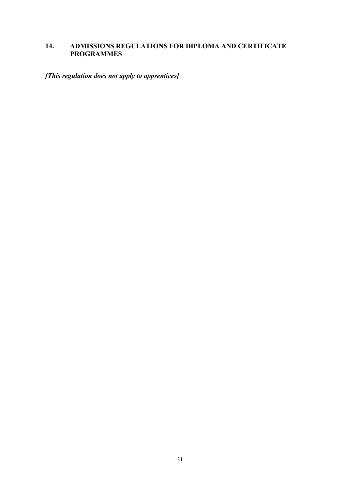# **14. ADMISSIONS REGULATIONS FOR DIPLOMA AND CERTIFICATE PROGRAMMES**

*[This regulation does not apply to apprentices]*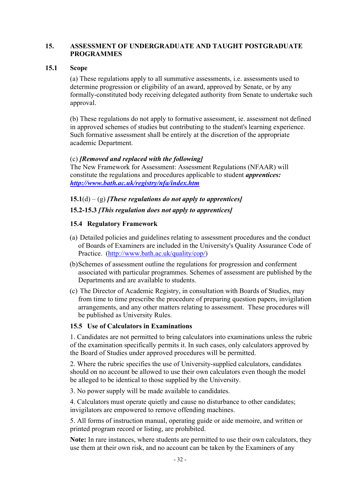### **15. ASSESSMENT OF UNDERGRADUATE AND TAUGHT POSTGRADUATE PROGRAMMES**

### **15.1 Scope**

(a) These regulations apply to all summative assessments, i.e. assessments used to determine progression or eligibility of an award, approved by Senate, or by any formally-constituted body receiving delegated authority from Senate to undertake such approval.

(b) These regulations do not apply to formative assessment, ie. assessment not defined in approved schemes of studies but contributing to the student's learning experience. Such formative assessment shall be entirely at the discretion of the appropriate academic Department.

### (c) *[Removed and replaced with the following]*

The New Framework for Assessment: Assessment Regulations (NFAAR) will constitute the regulations and procedures applicable to student *apprentices: <http://www.bath.ac.uk/registry/nfa/index.htm>*

## **15.1**(d) – (g) *[These regulations do not apply to apprentices]*

## **15.2-15.3** *[This regulation does not apply to apprentices]*

## **15.4 Regulatory Framework**

- (a) Detailed policies and guidelines relating to assessment procedures and the conduct of Boards of Examiners are included in the University's Quality Assurance Code of Practice. [\(http://www.bath.ac.uk/quality/cop/\)](http://www.bath.ac.uk/quality/cop/)
- (b)Schemes of assessment outline the regulations for progression and conferment associated with particular programmes. Schemes of assessment are published bythe Departments and are available to students.
- (c) The Director of Academic Registry, in consultation with Boards of Studies, may from time to time prescribe the procedure of preparing question papers, invigilation arrangements, and any other matters relating to assessment. These procedures will be published as University Rules.

#### **15.5 Use of Calculators in Examinations**

1. Candidates are not permitted to bring calculators into examinations unless the rubric of the examination specifically permits it. In such cases, only calculators approved by the Board of Studies under approved procedures will be permitted.

2. Where the rubric specifies the use of University-supplied calculators, candidates should on no account be allowed to use their own calculators even though the model be alleged to be identical to those supplied by the University.

3. No power supply will be made available to candidates.

4. Calculators must operate quietly and cause no disturbance to other candidates; invigilators are empowered to remove offending machines.

5. All forms of instruction manual, operating guide or aide memoire, and written or printed program record or listing, are prohibited.

**Note:** In rare instances, where students are permitted to use their own calculators, they use them at their own risk, and no account can be taken by the Examiners of any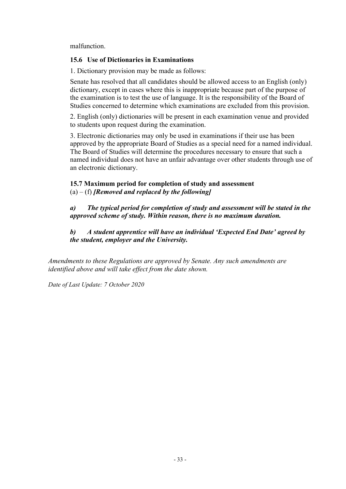malfunction.

## **15.6 Use of Dictionaries in Examinations**

1. Dictionary provision may be made as follows:

Senate has resolved that all candidates should be allowed access to an English (only) dictionary, except in cases where this is inappropriate because part of the purpose of the examination is to test the use of language. It is the responsibility of the Board of Studies concerned to determine which examinations are excluded from this provision.

2. English (only) dictionaries will be present in each examination venue and provided to students upon request during the examination.

3. Electronic dictionaries may only be used in examinations if their use has been approved by the appropriate Board of Studies as a special need for a named individual. The Board of Studies will determine the procedures necessary to ensure that such a named individual does not have an unfair advantage over other students through use of an electronic dictionary.

## **15.7 Maximum period for completion of study and assessment** (a) – (f) *[Removed and replaced by the following]*

*a) The typical period for completion of study and assessment will be stated in the approved scheme of study. Within reason, there is no maximum duration.*

*b) A student apprentice will have an individual 'Expected End Date' agreed by the student, employer and the University.* 

*Amendments to these Regulations are approved by Senate. Any such amendments are identified above and will take effect from the date shown.*

*Date of Last Update: 7 October 2020*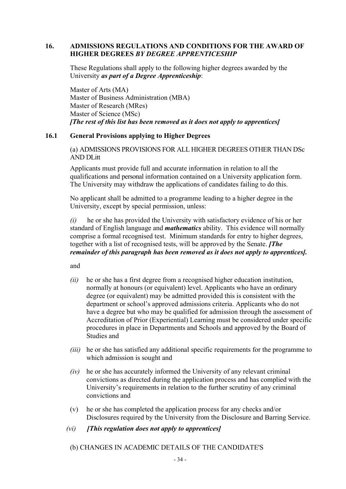### **16. ADMISSIONS REGULATIONS AND CONDITIONS FOR THE AWARD OF HIGHER DEGREES** *BY DEGREE APPRENTICESHIP*

These Regulations shall apply to the following higher degrees awarded by the University *as part of a Degree Apprenticeship*:

Master of Arts (MA) Master of Business Administration (MBA) Master of Research (MRes) Master of Science (MSc) *[The rest of this list has been removed as it does not apply to apprentices]*

## **16.1 General Provisions applying to Higher Degrees**

(a) ADMISSIONS PROVISIONS FOR ALL HIGHER DEGREES OTHER THAN DSc AND DLitt

Applicants must provide full and accurate information in relation to all the qualifications and personal information contained on a University application form. The University may withdraw the applications of candidates failing to do this.

No applicant shall be admitted to a programme leading to a higher degree in the University, except by special permission, unless:

*(i)* he or she has provided the University with satisfactory evidence of his or her standard of English language and *mathematics* ability. This evidence will normally comprise a formal recognised test. Minimum standards for entry to higher degrees, together with a list of recognised tests, will be approved by the Senate. *[The remainder of this paragraph has been removed as it does not apply to apprentices].*

and

- *(ii)* he or she has a first degree from a recognised higher education institution, normally at honours (or equivalent) level. Applicants who have an ordinary degree (or equivalent) may be admitted provided this is consistent with the department or school's approved admissions criteria. Applicants who do not have a degree but who may be qualified for admission through the assessment of Accreditation of Prior (Experiential) Learning must be considered under specific procedures in place in Departments and Schools and approved by the Board of Studies and
- *(iii)* he or she has satisfied any additional specific requirements for the programme to which admission is sought and
- *(iv)* he or she has accurately informed the University of any relevant criminal convictions as directed during the application process and has complied with the University's requirements in relation to the further scrutiny of any criminal convictions and
- (v) he or she has completed the application process for any checks and/or Disclosures required by the University from the Disclosure and Barring Service.
- *(vi) [This regulation does not apply to apprentices]*
- (b) CHANGES IN ACADEMIC DETAILS OF THE CANDIDATE'S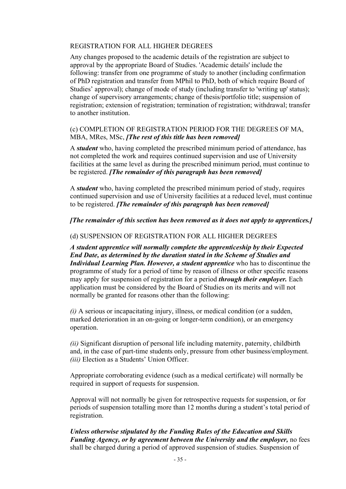## REGISTRATION FOR ALL HIGHER DEGREES

Any changes proposed to the academic details of the registration are subject to approval by the appropriate Board of Studies. 'Academic details' include the following: transfer from one programme of study to another (including confirmation of PhD registration and transfer from MPhil to PhD, both of which require Board of Studies' approval); change of mode of study (including transfer to 'writing up' status); change of supervisory arrangements; change of thesis/portfolio title; suspension of registration; extension of registration; termination of registration; withdrawal; transfer to another institution.

## (c) COMPLETION OF REGISTRATION PERIOD FOR THE DEGREES OF MA, MBA, MRes, MSc, *[The rest of this title has been removed]*

A *student* who, having completed the prescribed minimum period of attendance, has not completed the work and requires continued supervision and use of University facilities at the same level as during the prescribed minimum period, must continue to be registered. *[The remainder of this paragraph has been removed]*

A *student* who, having completed the prescribed minimum period of study, requires continued supervision and use of University facilities at a reduced level, must continue to be registered. *[The remainder of this paragraph has been removed]*

*[The remainder of this section has been removed as it does not apply to apprentices.]*

### (d) SUSPENSION OF REGISTRATION FOR ALL HIGHER DEGREES

*A student apprentice will normally complete the apprenticeship by their Expected End Date, as determined by the duration stated in the Scheme of Studies and Individual Learning Plan. However, a student apprentice* who has to discontinue the programme of study for a period of time by reason of illness or other specific reasons may apply for suspension of registration for a period *through their employer.* Each application must be considered by the Board of Studies on its merits and will not normally be granted for reasons other than the following:

*(i)* A serious or incapacitating injury, illness, or medical condition (or a sudden, marked deterioration in an on-going or longer-term condition), or an emergency operation.

*(ii)* Significant disruption of personal life including maternity, paternity, childbirth and, in the case of part-time students only, pressure from other business/employment. *(iii)* Election as a Students' Union Officer.

Appropriate corroborating evidence (such as a medical certificate) will normally be required in support of requests for suspension.

Approval will not normally be given for retrospective requests for suspension, or for periods of suspension totalling more than 12 months during a student's total period of registration.

*Unless otherwise stipulated by the Funding Rules of the Education and Skills Funding Agency, or by agreement between the University and the employer, no fees* shall be charged during a period of approved suspension of studies. Suspension of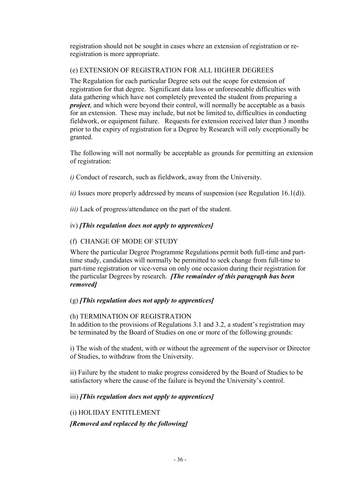registration should not be sought in cases where an extension of registration or reregistration is more appropriate.

# (e) EXTENSION OF REGISTRATION FOR ALL HIGHER DEGREES

The Regulation for each particular Degree sets out the scope for extension of registration for that degree. Significant data loss or unforeseeable difficulties with data gathering which have not completely prevented the student from preparing a *project*, and which were beyond their control, will normally be acceptable as a basis for an extension. These may include, but not be limited to, difficulties in conducting fieldwork, or equipment failure. Requests for extension received later than 3 months prior to the expiry of registration for a Degree by Research will only exceptionally be granted.

The following will not normally be acceptable as grounds for permitting an extension of registration:

*i)* Conduct of research, such as fieldwork, away from the University.

*ii)* Issues more properly addressed by means of suspension (see Regulation 16.1(d)).

*iii)* Lack of progress/attendance on the part of the student.

# iv) *[This regulation does not apply to apprentices]*

# (f) CHANGE OF MODE OF STUDY

Where the particular Degree Programme Regulations permit both full-time and parttime study, candidates will normally be permitted to seek change from full-time to part-time registration or vice-versa on only one occasion during their registration for the particular Degrees by research. *[The remainder of this paragraph has been removed]*

## (g) *[This regulation does not apply to apprentices]*

## (h) TERMINATION OF REGISTRATION

In addition to the provisions of Regulations 3.1 and 3.2, a student's registration may be terminated by the Board of Studies on one or more of the following grounds:

i) The wish of the student, with or without the agreement of the supervisor or Director of Studies, to withdraw from the University.

ii) Failure by the student to make progress considered by the Board of Studies to be satisfactory where the cause of the failure is beyond the University's control.

# iii) *[This regulation does not apply to apprentices]*

(i) HOLIDAY ENTITLEMENT *[Removed and replaced by the following]*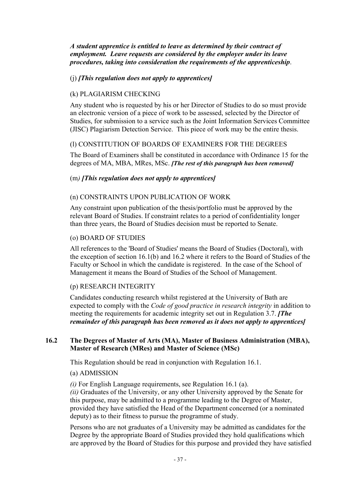*A student apprentice is entitled to leave as determined by their contract of employment. Leave requests are considered by the employer under its leave procedures, taking into consideration the requirements of the apprenticeship*.

### (j) *[This regulation does not apply to apprentices]*

### (k) PLAGIARISM CHECKING

Any student who is requested by his or her Director of Studies to do so must provide an electronic version of a piece of work to be assessed, selected by the Director of Studies, for submission to a service such as the Joint Information Services Committee (JISC) Plagiarism Detection Service. This piece of work may be the entire thesis.

### (l) CONSTITUTION OF BOARDS OF EXAMINERS FOR THE DEGREES

The Board of Examiners shall be constituted in accordance with Ordinance 15 for the degrees of MA, MBA, MRes, MSc. *[The rest of this paragraph has been removed]*

### (m*) [This regulation does not apply to apprentices]*

#### (n) CONSTRAINTS UPON PUBLICATION OF WORK

Any constraint upon publication of the thesis/portfolio must be approved by the relevant Board of Studies. If constraint relates to a period of confidentiality longer than three years, the Board of Studies decision must be reported to Senate.

#### (o) BOARD OF STUDIES

All references to the 'Board of Studies' means the Board of Studies (Doctoral), with the exception of section 16.1(b) and 16.2 where it refers to the Board of Studies of the Faculty or School in which the candidate is registered. In the case of the School of Management it means the Board of Studies of the School of Management.

#### (p) RESEARCH INTEGRITY

Candidates conducting research whilst registered at the University of Bath are expected to comply with the *Code of good practice in research integrity* in addition to meeting the requirements for academic integrity set out in Regulation 3.7. *[The remainder of this paragraph has been removed as it does not apply to apprentices]*

### **16.2 The Degrees of Master of Arts (MA), Master of Business Administration (MBA), Master of Research (MRes) and Master of Science (MSc)**

This Regulation should be read in conjunction with Regulation 16.1.

#### (a) ADMISSION

*(i)* For English Language requirements, see Regulation 16.1 (a).

*(ii)* Graduates of the University, or any other University approved by the Senate for this purpose, may be admitted to a programme leading to the Degree of Master, provided they have satisfied the Head of the Department concerned (or a nominated deputy) as to their fitness to pursue the programme of study.

Persons who are not graduates of a University may be admitted as candidates for the Degree by the appropriate Board of Studies provided they hold qualifications which are approved by the Board of Studies for this purpose and provided they have satisfied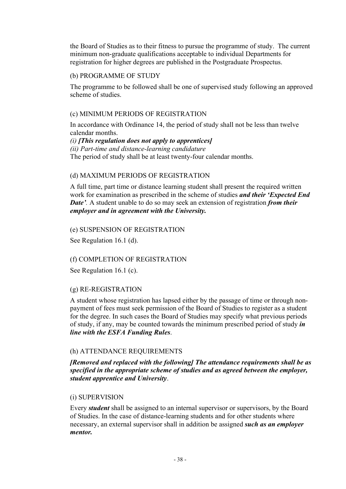the Board of Studies as to their fitness to pursue the programme of study. The current minimum non-graduate qualifications acceptable to individual Departments for registration for higher degrees are published in the Postgraduate Prospectus.

### (b) PROGRAMME OF STUDY

The programme to be followed shall be one of supervised study following an approved scheme of studies.

# (c) MINIMUM PERIODS OF REGISTRATION

In accordance with Ordinance 14, the period of study shall not be less than twelve calendar months.

*(i) [This regulation does not apply to apprentices] (ii) Part-time and distance-learning candidature* The period of study shall be at least twenty-four calendar months.

# (d) MAXIMUM PERIODS OF REGISTRATION

A full time, part time or distance learning student shall present the required written work for examination as prescribed in the scheme of studies *and their 'Expected End Date'.* A student unable to do so may seek an extension of registration *from their employer and in agreement with the University.*

## (e) SUSPENSION OF REGISTRATION

See Regulation 16.1 (d).

## (f) COMPLETION OF REGISTRATION

See Regulation 16.1 (c).

## (g) RE-REGISTRATION

A student whose registration has lapsed either by the passage of time or through nonpayment of fees must seek permission of the Board of Studies to register as a student for the degree. In such cases the Board of Studies may specify what previous periods of study, if any, may be counted towards the minimum prescribed period of study *in line with the ESFA Funding Rules*.

## (h) ATTENDANCE REQUIREMENTS

*[Removed and replaced with the following] The attendance requirements shall be as specified in the appropriate scheme of studies and as agreed between the employer, student apprentice and University*.

## (i) SUPERVISION

Every *student* shall be assigned to an internal supervisor or supervisors, by the Board of Studies. In the case of distance-learning students and for other students where necessary, an external supervisor shall in addition be assigned *such as an employer mentor.*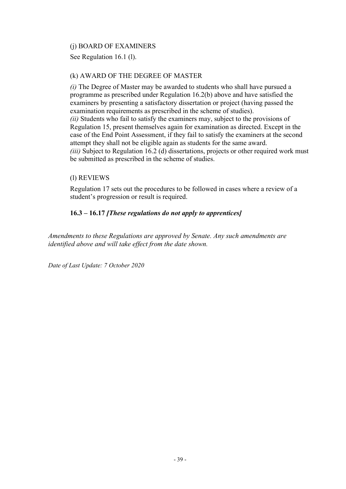## (j) BOARD OF EXAMINERS

See Regulation 16.1 (l).

### (k) AWARD OF THE DEGREE OF MASTER

*(i)* The Degree of Master may be awarded to students who shall have pursued a programme as prescribed under Regulation 16.2(b) above and have satisfied the examiners by presenting a satisfactory dissertation or project (having passed the examination requirements as prescribed in the scheme of studies). *(ii)* Students who fail to satisfy the examiners may, subject to the provisions of Regulation 15, present themselves again for examination as directed. Except in the case of the End Point Assessment, if they fail to satisfy the examiners at the second attempt they shall not be eligible again as students for the same award. *(iii)* Subject to Regulation 16.2 (d) dissertations, projects or other required work must be submitted as prescribed in the scheme of studies.

### (l) REVIEWS

Regulation 17 sets out the procedures to be followed in cases where a review of a student's progression or result is required.

## **16.3 – 16.17** *[These regulations do not apply to apprentices]*

*Amendments to these Regulations are approved by Senate. Any such amendments are identified above and will take effect from the date shown.*

*Date of Last Update: 7 October 2020*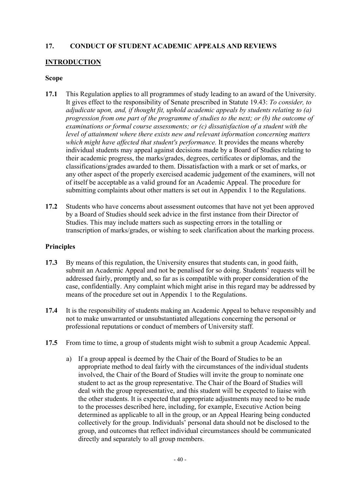## **17. CONDUCT OF STUDENT ACADEMIC APPEALS AND REVIEWS**

#### **INTRODUCTION**

#### **Scope**

- **17.1** This Regulation applies to all programmes of study leading to an award of the University. It gives effect to the responsibility of Senate prescribed in Statute 19.43: *To consider, to adjudicate upon, and, if thought fit, uphold academic appeals by students relating to (a) progression from one part of the programme of studies to the next; or (b) the outcome of examinations or formal course assessments; or (c) dissatisfaction of a student with the level of attainment where there exists new and relevant information concerning matters which might have affected that student's performance.* It provides the means whereby individual students may appeal against decisions made by a Board of Studies relating to their academic progress, the marks/grades, degrees, certificates or diplomas, and the classifications/grades awarded to them. Dissatisfaction with a mark or set of marks, or any other aspect of the properly exercised academic judgement of the examiners, will not of itself be acceptable as a valid ground for an Academic Appeal. The procedure for submitting complaints about other matters is set out in Appendix 1 to the Regulations.
- **17.2** Students who have concerns about assessment outcomes that have not yet been approved by a Board of Studies should seek advice in the first instance from their Director of Studies. This may include matters such as suspecting errors in the totalling or transcription of marks/grades, or wishing to seek clarification about the marking process.

#### **Principles**

- **17.3** By means of this regulation, the University ensures that students can, in good faith, submit an Academic Appeal and not be penalised for so doing. Students' requests will be addressed fairly, promptly and, so far as is compatible with proper consideration of the case, confidentially. Any complaint which might arise in this regard may be addressed by means of the procedure set out in Appendix 1 to the Regulations.
- **17.4** It is the responsibility of students making an Academic Appeal to behave responsibly and not to make unwarranted or unsubstantiated allegations concerning the personal or professional reputations or conduct of members of University staff.
- **17.5** From time to time, a group of students might wish to submit a group Academic Appeal.
	- a) If a group appeal is deemed by the Chair of the Board of Studies to be an appropriate method to deal fairly with the circumstances of the individual students involved, the Chair of the Board of Studies will invite the group to nominate one student to act as the group representative. The Chair of the Board of Studies will deal with the group representative, and this student will be expected to liaise with the other students. It is expected that appropriate adjustments may need to be made to the processes described here, including, for example, Executive Action being determined as applicable to all in the group, or an Appeal Hearing being conducted collectively for the group. Individuals' personal data should not be disclosed to the group, and outcomes that reflect individual circumstances should be communicated directly and separately to all group members.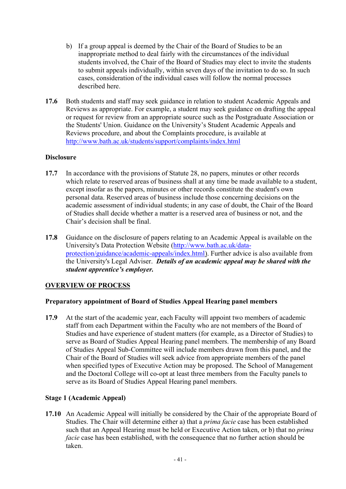- b) If a group appeal is deemed by the Chair of the Board of Studies to be an inappropriate method to deal fairly with the circumstances of the individual students involved, the Chair of the Board of Studies may elect to invite the students to submit appeals individually, within seven days of the invitation to do so. In such cases, consideration of the individual cases will follow the normal processes described here.
- **17.6** Both students and staff may seek guidance in relation to student Academic Appeals and Reviews as appropriate. For example, a student may seek guidance on drafting the appeal or request for review from an appropriate source such as the Postgraduate Association or the Students' Union. Guidance on the University's Student Academic Appeals and Reviews procedure, and about the Complaints procedure, is available at <http://www.bath.ac.uk/students/support/complaints/index.html>

### **Disclosure**

- **17.7** In accordance with the provisions of Statute 28, no papers, minutes or other records which relate to reserved areas of business shall at any time be made available to a student, except insofar as the papers, minutes or other records constitute the student's own personal data. Reserved areas of business include those concerning decisions on the academic assessment of individual students; in any case of doubt, the Chair of the Board of Studies shall decide whether a matter is a reserved area of business or not, and the Chair's decision shall be final.
- **17.8** Guidance on the disclosure of papers relating to an Academic Appeal is available on the University's Data Protection Website [\(http://www.bath.ac.uk/data](http://www.bath.ac.uk/data-protection/guidance/academic-appeals/index.html)[protection/guidance/academic-appeals/index.html\)](http://www.bath.ac.uk/data-protection/guidance/academic-appeals/index.html). Further advice is also available from the University's Legal Adviser. *Details of an academic appeal may be shared with the student apprentice's employer.*

## **OVERVIEW OF PROCESS**

#### **Preparatory appointment of Board of Studies Appeal Hearing panel members**

**17.9** At the start of the academic year, each Faculty will appoint two members of academic staff from each Department within the Faculty who are not members of the Board of Studies and have experience of student matters (for example, as a Director of Studies) to serve as Board of Studies Appeal Hearing panel members. The membership of any Board of Studies Appeal Sub-Committee will include members drawn from this panel, and the Chair of the Board of Studies will seek advice from appropriate members of the panel when specified types of Executive Action may be proposed. The School of Management and the Doctoral College will co-opt at least three members from the Faculty panels to serve as its Board of Studies Appeal Hearing panel members.

## **Stage 1 (Academic Appeal)**

**17.10** An Academic Appeal will initially be considered by the Chair of the appropriate Board of Studies. The Chair will determine either a) that a *prima facie* case has been established such that an Appeal Hearing must be held or Executive Action taken, or b) that no *prima facie* case has been established, with the consequence that no further action should be taken.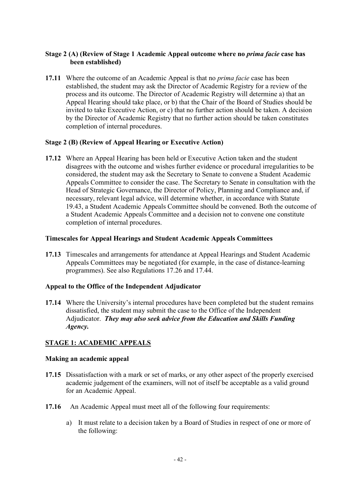## **Stage 2 (A) (Review of Stage 1 Academic Appeal outcome where no** *prima facie* **case has been established)**

**17.11** Where the outcome of an Academic Appeal is that no *prima facie* case has been established, the student may ask the Director of Academic Registry for a review of the process and its outcome. The Director of Academic Registry will determine a) that an Appeal Hearing should take place, or b) that the Chair of the Board of Studies should be invited to take Executive Action, or c) that no further action should be taken. A decision by the Director of Academic Registry that no further action should be taken constitutes completion of internal procedures.

## **Stage 2 (B) (Review of Appeal Hearing or Executive Action)**

**17.12** Where an Appeal Hearing has been held or Executive Action taken and the student disagrees with the outcome and wishes further evidence or procedural irregularities to be considered, the student may ask the Secretary to Senate to convene a Student Academic Appeals Committee to consider the case. The Secretary to Senate in consultation with the Head of Strategic Governance, the Director of Policy, Planning and Compliance and, if necessary, relevant legal advice, will determine whether, in accordance with Statute 19.43, a Student Academic Appeals Committee should be convened. Both the outcome of a Student Academic Appeals Committee and a decision not to convene one constitute completion of internal procedures.

### **Timescales for Appeal Hearings and Student Academic Appeals Committees**

**17.13** Timescales and arrangements for attendance at Appeal Hearings and Student Academic Appeals Committees may be negotiated (for example, in the case of distance-learning programmes). See also Regulations [17.26](#page-44-0) and [17.44.](#page-47-0)

## **Appeal to the Office of the Independent Adjudicator**

**17.14** Where the University's internal procedures have been completed but the student remains dissatisfied, the student may submit the case to the Office of the Independent Adjudicator. *They may also seek advice from the Education and Skills Funding Agency.*

## **STAGE 1: ACADEMIC APPEALS**

## **Making an academic appeal**

- **17.15** Dissatisfaction with a mark or set of marks, or any other aspect of the properly exercised academic judgement of the examiners, will not of itself be acceptable as a valid ground for an Academic Appeal.
- **17.16** An Academic Appeal must meet all of the following four requirements:
	- a) It must relate to a decision taken by a Board of Studies in respect of one or more of the following: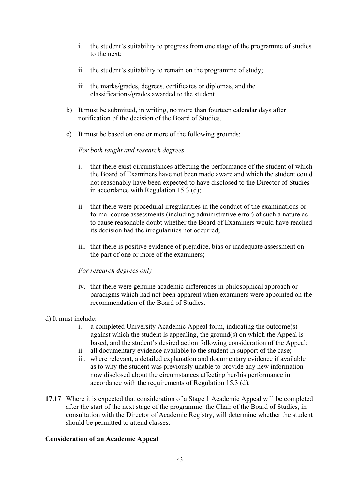- i. the student's suitability to progress from one stage of the programme of studies to the next;
- ii. the student's suitability to remain on the programme of study;
- iii. the marks/grades, degrees, certificates or diplomas, and the classifications/grades awarded to the student.
- b) It must be submitted, in writing, no more than fourteen calendar days after notification of the decision of the Board of Studies.
- c) It must be based on one or more of the following grounds:

### *For both taught and research degrees*

- i. that there exist circumstances affecting the performance of the student of which the Board of Examiners have not been made aware and which the student could not reasonably have been expected to have disclosed to the Director of Studies in accordance with Regulation 15.3 (d);
- ii. that there were procedural irregularities in the conduct of the examinations or formal course assessments (including administrative error) of such a nature as to cause reasonable doubt whether the Board of Examiners would have reached its decision had the irregularities not occurred;
- iii. that there is positive evidence of prejudice, bias or inadequate assessment on the part of one or more of the examiners;

## *For research degrees only*

iv. that there were genuine academic differences in philosophical approach or paradigms which had not been apparent when examiners were appointed on the recommendation of the Board of Studies.

## d) It must include:

- i. a completed University Academic Appeal form, indicating the outcome(s) against which the student is appealing, the ground(s) on which the Appeal is based, and the student's desired action following consideration of the Appeal;
- ii. all documentary evidence available to the student in support of the case;
- iii. where relevant, a detailed explanation and documentary evidence if available as to why the student was previously unable to provide any new information now disclosed about the circumstances affecting her/his performance in accordance with the requirements of Regulation 15.3 (d).
- **17.17** Where it is expected that consideration of a Stage 1 Academic Appeal will be completed after the start of the next stage of the programme, the Chair of the Board of Studies, in consultation with the Director of Academic Registry, will determine whether the student should be permitted to attend classes.

## **Consideration of an Academic Appeal**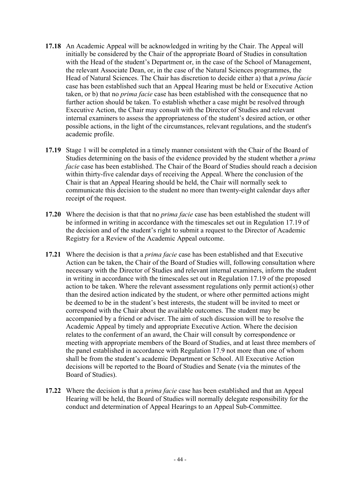- **17.18** An Academic Appeal will be acknowledged in writing by the Chair. The Appeal will initially be considered by the Chair of the appropriate Board of Studies in consultation with the Head of the student's Department or, in the case of the School of Management, the relevant Associate Dean, or, in the case of the Natural Sciences programmes, the Head of Natural Sciences. The Chair has discretion to decide either a) that a *prima facie* case has been established such that an Appeal Hearing must be held or Executive Action taken, or b) that no *prima facie* case has been established with the consequence that no further action should be taken. To establish whether a case might be resolved through Executive Action, the Chair may consult with the Director of Studies and relevant internal examiners to assess the appropriateness of the student's desired action, or other possible actions, in the light of the circumstances, relevant regulations, and the student's academic profile.
- <span id="page-43-0"></span>**17.19** Stage 1 will be completed in a timely manner consistent with the Chair of the Board of Studies determining on the basis of the evidence provided by the student whether a *prima facie* case has been established. The Chair of the Board of Studies should reach a decision within thirty-five calendar days of receiving the Appeal. Where the conclusion of the Chair is that an Appeal Hearing should be held, the Chair will normally seek to communicate this decision to the student no more than twenty-eight calendar days after receipt of the request.
- **17.20** Where the decision is that that no *prima facie* case has been established the student will be informed in writing in accordance with the timescales set out in Regulation [17.19](#page-43-0) of the decision and of the student's right to submit a request to the Director of Academic Registry for a Review of the Academic Appeal outcome.
- <span id="page-43-1"></span>**17.21** Where the decision is that a *prima facie* case has been established and that Executive Action can be taken, the Chair of the Board of Studies will, following consultation where necessary with the Director of Studies and relevant internal examiners, inform the student in writing in accordance with the timescales set out in Regulation [17.19](#page-43-0) of the proposed action to be taken. Where the relevant assessment regulations only permit action(s) other than the desired action indicated by the student, or where other permitted actions might be deemed to be in the student's best interests, the student will be invited to meet or correspond with the Chair about the available outcomes. The student may be accompanied by a friend or adviser. The aim of such discussion will be to resolve the Academic Appeal by timely and appropriate Executive Action. Where the decision relates to the conferment of an award, the Chair will consult by correspondence or meeting with appropriate members of the Board of Studies, and at least three members of the panel established in accordance with Regulation 17.9 not more than one of whom shall be from the student's academic Department or School. All Executive Action decisions will be reported to the Board of Studies and Senate (via the minutes of the Board of Studies).
- **17.22** Where the decision is that a *prima facie* case has been established and that an Appeal Hearing will be held, the Board of Studies will normally delegate responsibility for the conduct and determination of Appeal Hearings to an Appeal Sub-Committee.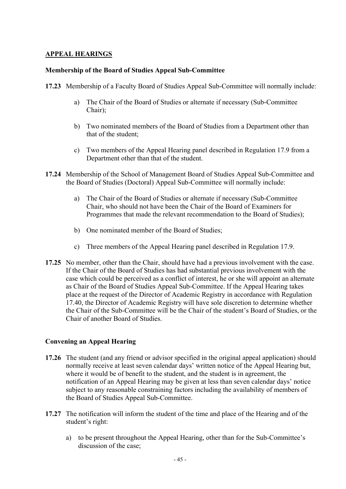## **APPEAL HEARINGS**

### **Membership of the Board of Studies Appeal Sub-Committee**

- <span id="page-44-1"></span>**17.23** Membership of a Faculty Board of Studies Appeal Sub-Committee will normally include:
	- a) The Chair of the Board of Studies or alternate if necessary (Sub-Committee Chair);
	- b) Two nominated members of the Board of Studies from a Department other than that of the student;
	- c) Two members of the Appeal Hearing panel described in Regulation 17.9 from a Department other than that of the student.
- **17.24** Membership of the School of Management Board of Studies Appeal Sub-Committee and the Board of Studies (Doctoral) Appeal Sub-Committee will normally include:
	- a) The Chair of the Board of Studies or alternate if necessary (Sub-Committee Chair, who should not have been the Chair of the Board of Examiners for Programmes that made the relevant recommendation to the Board of Studies);
	- b) One nominated member of the Board of Studies;
	- c) Three members of the Appeal Hearing panel described in Regulation 17.9.
- **17.25** No member, other than the Chair, should have had a previous involvement with the case. If the Chair of the Board of Studies has had substantial previous involvement with the case which could be perceived as a conflict of interest, he or she will appoint an alternate as Chair of the Board of Studies Appeal Sub-Committee. If the Appeal Hearing takes place at the request of the Director of Academic Registry in accordance with Regulation [17.40,](#page-47-1) the Director of Academic Registry will have sole discretion to determine whether the Chair of the Sub-Committee will be the Chair of the student's Board of Studies, or the Chair of another Board of Studies.

## **Convening an Appeal Hearing**

- <span id="page-44-0"></span>**17.26** The student (and any friend or advisor specified in the original appeal application) should normally receive at least seven calendar days' written notice of the Appeal Hearing but, where it would be of benefit to the student, and the student is in agreement, the notification of an Appeal Hearing may be given at less than seven calendar days' notice subject to any reasonable constraining factors including the availability of members of the Board of Studies Appeal Sub-Committee.
- **17.27** The notification will inform the student of the time and place of the Hearing and of the student's right:
	- a) to be present throughout the Appeal Hearing, other than for the Sub-Committee's discussion of the case;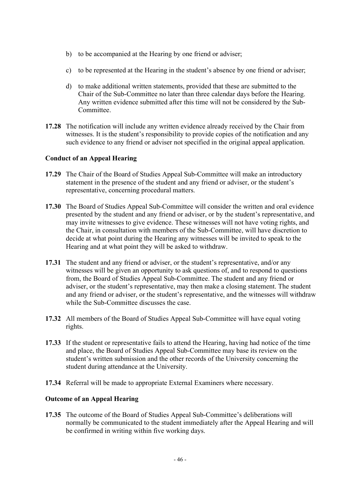- b) to be accompanied at the Hearing by one friend or adviser;
- c) to be represented at the Hearing in the student's absence by one friend or adviser;
- d) to make additional written statements, provided that these are submitted to the Chair of the Sub-Committee no later than three calendar days before the Hearing. Any written evidence submitted after this time will not be considered by the Sub-Committee.
- **17.28** The notification will include any written evidence already received by the Chair from witnesses. It is the student's responsibility to provide copies of the notification and any such evidence to any friend or adviser not specified in the original appeal application.

### **Conduct of an Appeal Hearing**

- **17.29** The Chair of the Board of Studies Appeal Sub-Committee will make an introductory statement in the presence of the student and any friend or adviser, or the student's representative, concerning procedural matters.
- **17.30** The Board of Studies Appeal Sub-Committee will consider the written and oral evidence presented by the student and any friend or adviser, or by the student's representative, and may invite witnesses to give evidence. These witnesses will not have voting rights, and the Chair, in consultation with members of the Sub-Committee, will have discretion to decide at what point during the Hearing any witnesses will be invited to speak to the Hearing and at what point they will be asked to withdraw.
- **17.31** The student and any friend or adviser, or the student's representative, and/or any witnesses will be given an opportunity to ask questions of, and to respond to questions from, the Board of Studies Appeal Sub-Committee. The student and any friend or adviser, or the student's representative, may then make a closing statement. The student and any friend or adviser, or the student's representative, and the witnesses will withdraw while the Sub-Committee discusses the case.
- **17.32** All members of the Board of Studies Appeal Sub-Committee will have equal voting rights.
- **17.33** If the student or representative fails to attend the Hearing, having had notice of the time and place, the Board of Studies Appeal Sub-Committee may base its review on the student's written submission and the other records of the University concerning the student during attendance at the University.
- **17.34** Referral will be made to appropriate External Examiners where necessary.

## **Outcome of an Appeal Hearing**

**17.35** The outcome of the Board of Studies Appeal Sub-Committee's deliberations will normally be communicated to the student immediately after the Appeal Hearing and will be confirmed in writing within five working days.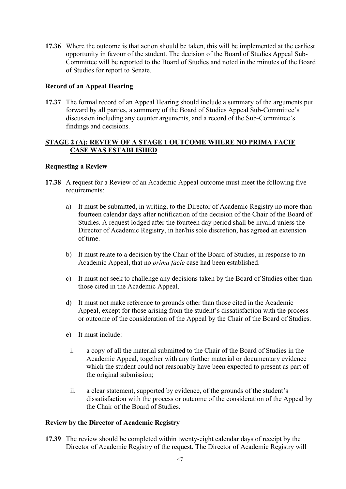**17.36** Where the outcome is that action should be taken, this will be implemented at the earliest opportunity in favour of the student. The decision of the Board of Studies Appeal Sub-Committee will be reported to the Board of Studies and noted in the minutes of the Board of Studies for report to Senate.

# **Record of an Appeal Hearing**

<span id="page-46-0"></span>**17.37** The formal record of an Appeal Hearing should include a summary of the arguments put forward by all parties, a summary of the Board of Studies Appeal Sub-Committee's discussion including any counter arguments, and a record of the Sub-Committee's findings and decisions.

### **STAGE 2 (A): REVIEW OF A STAGE 1 OUTCOME WHERE NO PRIMA FACIE CASE WAS ESTABLISHED**

## **Requesting a Review**

- **17.38** A request for a Review of an Academic Appeal outcome must meet the following five requirements:
	- a) It must be submitted, in writing, to the Director of Academic Registry no more than fourteen calendar days after notification of the decision of the Chair of the Board of Studies. A request lodged after the fourteen day period shall be invalid unless the Director of Academic Registry, in her/his sole discretion, has agreed an extension of time.
	- b) It must relate to a decision by the Chair of the Board of Studies, in response to an Academic Appeal, that no *prima facie* case had been established.
	- c) It must not seek to challenge any decisions taken by the Board of Studies other than those cited in the Academic Appeal.
	- d) It must not make reference to grounds other than those cited in the Academic Appeal, except for those arising from the student's dissatisfaction with the process or outcome of the consideration of the Appeal by the Chair of the Board of Studies.
	- e) It must include:
		- i. a copy of all the material submitted to the Chair of the Board of Studies in the Academic Appeal, together with any further material or documentary evidence which the student could not reasonably have been expected to present as part of the original submission;
		- ii. a clear statement, supported by evidence, of the grounds of the student's dissatisfaction with the process or outcome of the consideration of the Appeal by the Chair of the Board of Studies.

## **Review by the Director of Academic Registry**

**17.39** The review should be completed within twenty-eight calendar days of receipt by the Director of Academic Registry of the request. The Director of Academic Registry will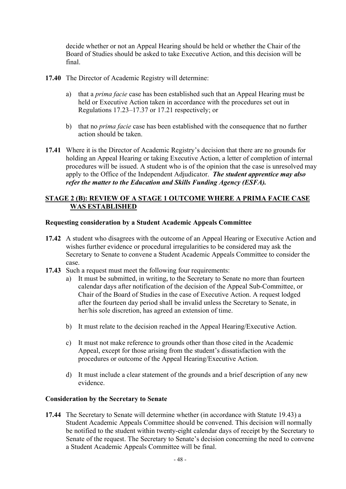decide whether or not an Appeal Hearing should be held or whether the Chair of the Board of Studies should be asked to take Executive Action, and this decision will be final.

- <span id="page-47-1"></span>**17.40** The Director of Academic Registry will determine:
	- a) that a *prima facie* case has been established such that an Appeal Hearing must be held or Executive Action taken in accordance with the procedures set out in Regulations [17.23–](#page-44-1)[17.37](#page-46-0) or [17.21](#page-43-1) respectively; or
	- b) that no *prima facie* case has been established with the consequence that no further action should be taken.
- **17.41** Where it is the Director of Academic Registry's decision that there are no grounds for holding an Appeal Hearing or taking Executive Action, a letter of completion of internal procedures will be issued. A student who is of the opinion that the case is unresolved may apply to the Office of the Independent Adjudicator. *The student apprentice may also refer the matter to the Education and Skills Funding Agency (ESFA).*

## **STAGE 2 (B): REVIEW OF A STAGE 1 OUTCOME WHERE A PRIMA FACIE CASE WAS ESTABLISHED**

### **Requesting consideration by a Student Academic Appeals Committee**

- **17.42** A student who disagrees with the outcome of an Appeal Hearing or Executive Action and wishes further evidence or procedural irregularities to be considered may ask the Secretary to Senate to convene a Student Academic Appeals Committee to consider the case.
- **17.43** Such a request must meet the following four requirements:
	- a) It must be submitted, in writing, to the Secretary to Senate no more than fourteen calendar days after notification of the decision of the Appeal Sub-Committee, or Chair of the Board of Studies in the case of Executive Action. A request lodged after the fourteen day period shall be invalid unless the Secretary to Senate, in her/his sole discretion, has agreed an extension of time.
	- b) It must relate to the decision reached in the Appeal Hearing/Executive Action.
	- c) It must not make reference to grounds other than those cited in the Academic Appeal, except for those arising from the student's dissatisfaction with the procedures or outcome of the Appeal Hearing/Executive Action.
	- d) It must include a clear statement of the grounds and a brief description of any new evidence.

#### **Consideration by the Secretary to Senate**

<span id="page-47-0"></span>**17.44** The Secretary to Senate will determine whether (in accordance with Statute 19.43) a Student Academic Appeals Committee should be convened. This decision will normally be notified to the student within twenty-eight calendar days of receipt by the Secretary to Senate of the request. The Secretary to Senate's decision concerning the need to convene a Student Academic Appeals Committee will be final.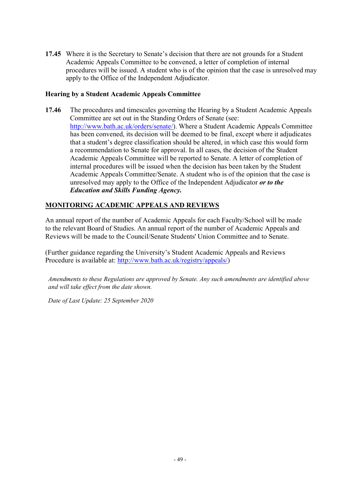**17.45** Where it is the Secretary to Senate's decision that there are not grounds for a Student Academic Appeals Committee to be convened, a letter of completion of internal procedures will be issued. A student who is of the opinion that the case is unresolved may apply to the Office of the Independent Adjudicator.

### **Hearing by a Student Academic Appeals Committee**

**17.46** The procedures and timescales governing the Hearing by a Student Academic Appeals Committee are set out in the Standing Orders of Senate (see: [http://www.bath.ac.uk/orders/senate/\)](http://www.bath.ac.uk/orders/senate/). Where a Student Academic Appeals Committee has been convened, its decision will be deemed to be final, except where it adjudicates that a student's degree classification should be altered, in which case this would form a recommendation to Senate for approval. In all cases, the decision of the Student Academic Appeals Committee will be reported to Senate. A letter of completion of internal procedures will be issued when the decision has been taken by the Student Academic Appeals Committee/Senate. A student who is of the opinion that the case is unresolved may apply to the Office of the Independent Adjudicator *or to the Education and Skills Funding Agency.*

## **MONITORING ACADEMIC APPEALS AND REVIEWS**

An annual report of the number of Academic Appeals for each Faculty/School will be made to the relevant Board of Studies. An annual report of the number of Academic Appeals and Reviews will be made to the Council/Senate Students' Union Committee and to Senate.

(Further guidance regarding the University's Student Academic Appeals and Reviews Procedure is available at: [http://www.bath.ac.uk/registry/appeals/\)](http://www.bath.ac.uk/registry/appeals/)

*Amendments to these Regulations are approved by Senate. Any such amendments are identified above and will take effect from the date shown.*

*Date of Last Update: 25 September 2020*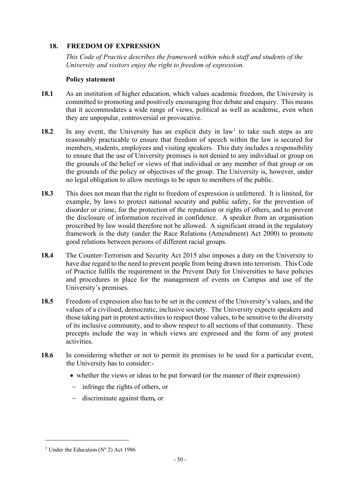# **18. FREEDOM OF EXPRESSION**

*This Code of Practice describes the framework within which staff and students of the University and visitors enjoy the right to freedom of expression.*

## **Policy statement**

- **18.1** As an institution of higher education, which values academic freedom, the University is committed to promoting and positively encouraging free debate and enquiry. This means that it accommodates a wide range of views, political as well as academic, even when they are unpopular, controversial or provocative.
- [1](#page-49-0)8.2 In any event, the University has an explicit duty in law<sup>1</sup> to take such steps as are reasonably practicable to ensure that freedom of speech within the law is secured for members, students, employees and visiting speakers. This duty includes a responsibility to ensure that the use of University premises is not denied to any individual or group on the grounds of the belief or views of that individual or any member of that group or on the grounds of the policy or objectives of the group. The University is, however, under no legal obligation to allow meetings to be open to members of the public.
- **18.3** This does not mean that the right to freedom of expression is unfettered. It is limited, for example, by laws to protect national security and public safety, for the prevention of disorder or crime, for the protection of the reputation or rights of others, and to prevent the disclosure of information received in confidence. A speaker from an organisation proscribed by law would therefore not be allowed. A significant strand in the regulatory framework is the duty (under the Race Relations (Amendment) Act 2000) to promote good relations between persons of different racial groups.
- **18.4** The Counter-Terrorism and Security Act 2015 also imposes a duty on the University to have due regard to the need to prevent people from being drawn into terrorism. This Code of Practice fulfils the requirement in the Prevent Duty for Universities to have policies and procedures in place for the management of events on Campus and use of the University's premises.
- **18.5** Freedom of expression also has to be set in the context of the University's values, and the values of a civilised, democratic, inclusive society. The University expects speakers and those taking part in protest activities to respect those values, to be sensitive to the diversity of its inclusive community, and to show respect to all sections of that community. These precepts include the way in which views are expressed and the form of any protest activities.
- **18.6** In considering whether or not to permit its premises to be used for a particular event, the University has to consider:-
	- whether the views or ideas to be put forward (or the manner of their expression)
	- $\sim$  infringe the rights of others, or
	- ~ discriminate against them*,* or

<span id="page-49-0"></span><sup>&</sup>lt;sup>1</sup> Under the Education ( $N^{\circ}$  2) Act 1986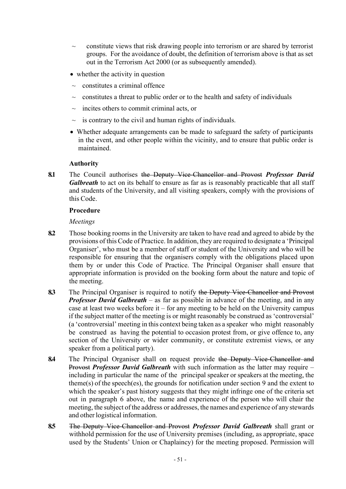- $\sim$  constitute views that risk drawing people into terrorism or are shared by terrorist groups. For the avoidance of doubt, the definition of terrorism above is that as set out in the Terrorism Act 2000 (or as subsequently amended).
- whether the activity in question
- constitutes a criminal offence
- constitutes a threat to public order or to the health and safety of individuals
- $\sim$  incites others to commit criminal acts, or
- $\sim$  is contrary to the civil and human rights of individuals.
- Whether adequate arrangements can be made to safeguard the safety of participants in the event, and other people within the vicinity, and to ensure that public order is maintained.

### **Authority**

**8.1** The Council authorises the Deputy Vice-Chancellor and Provost *Professor David Galbreath* to act on its behalf to ensure as far as is reasonably practicable that all staff and students of the University, and all visiting speakers, comply with the provisions of this Code.

#### **Procedure**

*Meetings*

- **8.2** Those booking rooms in the University are taken to have read and agreed to abide by the provisions of this Code of Practice. In addition, they are required to designate a 'Principal Organiser', who must be a member of staff or student of the University and who will be responsible for ensuring that the organisers comply with the obligations placed upon them by or under this Code of Practice. The Principal Organiser shall ensure that appropriate information is provided on the booking form about the nature and topic of the meeting.
- **8.3** The Principal Organiser is required to notify the Deputy Vice-Chancellor and Provost *Professor David Galbreath* – as far as possible in advance of the meeting, and in any case at least two weeks before it – for any meeting to be held on the University campus if the subject matter of the meeting is or might reasonably be construed as 'controversial' (a 'controversial' meeting in this context being taken as a speaker who might reasonably be construed as having the potential to occasion protest from, or give offence to, any section of the University or wider community, or constitute extremist views, or any speaker from a political party).
- **8.4** The Principal Organiser shall on request provide the Deputy Vice-Chancellor and Provost *Professor David Galbreath* with such information as the latter may require – including in particular the name of the principal speaker or speakers at the meeting, the theme(s) of the speech(es), the grounds for notification under section 9 and the extent to which the speaker's past history suggests that they might infringe one of the criteria set out in paragraph 6 above, the name and experience of the person who will chair the meeting, the subject of the address or addresses, the names and experience of any stewards and other logistical information.
- **8.5** The Deputy Vice-Chancellor and Provost *Professor David Galbreath* shall grant or withhold permission for the use of University premises (including, as appropriate, space used by the Students' Union or Chaplaincy) for the meeting proposed. Permission will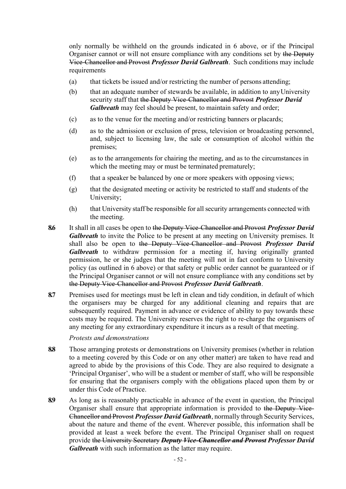only normally be withheld on the grounds indicated in 6 above, or if the Principal Organiser cannot or will not ensure compliance with any conditions set by the Deputy Vice-Chancellor and Provost *Professor David Galbreath*. Such conditions may include requirements

- (a) that tickets be issued and/or restricting the number of persons attending;
- (b) that an adequate number of stewards be available, in addition to anyUniversity security staff that the Deputy Vice-Chancellor and Provost *Professor David Galbreath* may feel should be present, to maintain safety and order;
- (c) as to the venue for the meeting and/or restricting banners or placards;
- (d) as to the admission or exclusion of press, television or broadcasting personnel, and, subject to licensing law, the sale or consumption of alcohol within the premises;
- (e) as to the arrangements for chairing the meeting, and as to the circumstances in which the meeting may or must be terminated prematurely;
- (f) that a speaker be balanced by one or more speakers with opposing views;
- (g) that the designated meeting or activity be restricted to staff and students of the University;
- (h) that University staff be responsible for all security arrangements connected with the meeting.
- **8.6** It shall in all cases be open to the Deputy Vice-Chancellor and Provost *Professor David Galbreath* to invite the Police to be present at any meeting on University premises. It shall also be open to the Deputy Vice-Chancellor and Provost *Professor David Galbreath* to withdraw permission for a meeting if, having originally granted permission, he or she judges that the meeting will not in fact conform to University policy (as outlined in 6 above) or that safety or public order cannot be guaranteed or if the Principal Organiser cannot or will not ensure compliance with any conditions set by the Deputy Vice-Chancellor and Provost *Professor David Galbreath*.
- **8.7** Premises used for meetings must be left in clean and tidy condition, in default of which the organisers may be charged for any additional cleaning and repairs that are subsequently required. Payment in advance or evidence of ability to pay towards these costs may be required. The University reserves the right to re-charge the organisers of any meeting for any extraordinary expenditure it incurs as a result of that meeting.

*Protests and demonstrations*

- **8.8** Those arranging protests or demonstrations on University premises (whether in relation to a meeting covered by this Code or on any other matter) are taken to have read and agreed to abide by the provisions of this Code. They are also required to designate a 'Principal Organiser', who will be a student or member of staff, who will be responsible for ensuring that the organisers comply with the obligations placed upon them by or under this Code of Practice.
- **8.9** As long as is reasonably practicable in advance of the event in question, the Principal Organiser shall ensure that appropriate information is provided to the Deputy Vice-Chancellor and Provost *Professor David Galbreath*, normally through Security Services, about the nature and theme of the event. Wherever possible, this information shall be provided at least a week before the event. The Principal Organiser shall on request provide the University Secretary *Deputy Vice-Chancellor and Provost Professor David Galbreath* with such information as the latter may require.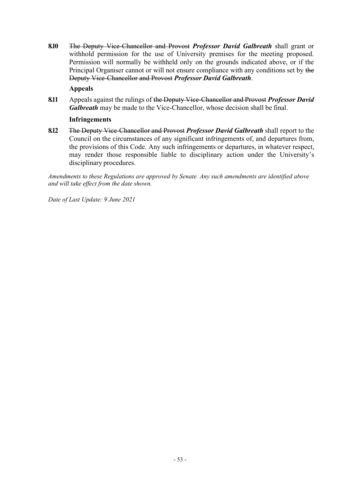**8.10** The Deputy Vice-Chancellor and Provost *Professor David Galbreath* shall grant or withhold permission for the use of University premises for the meeting proposed. Permission will normally be withheld only on the grounds indicated above, or if the Principal Organiser cannot or will not ensure compliance with any conditions set by the Deputy Vice-Chancellor and Provost *Professor David Galbreath*.

# **Appeals**

**8.11** Appeals against the rulings of the Deputy Vice-Chancellor and Provost *Professor David Galbreath* may be made to the Vice-Chancellor, whose decision shall be final.

### **Infringements**

**8.12** The Deputy Vice-Chancellor and Provost *Professor David Galbreath* shall report to the Council on the circumstances of any significant infringements of, and departures from, the provisions of this Code. Any such infringements or departures, in whatever respect, may render those responsible liable to disciplinary action under the University's disciplinary procedures.

*Amendments to these Regulations are approved by Senate. Any such amendments are identified above and will take effect from the date shown.*

*Date of Last Update: 9 June 2021*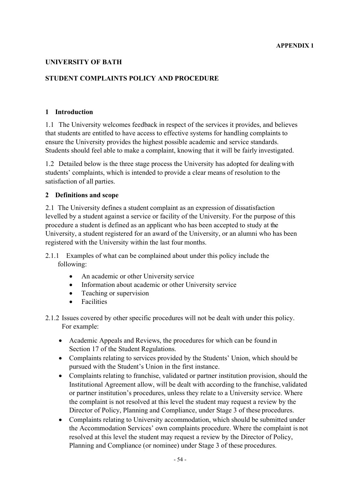## **UNIVERSITY OF BATH**

# **STUDENT COMPLAINTS POLICY AND PROCEDURE**

#### **1 Introduction**

1.1 The University welcomes feedback in respect of the services it provides, and believes that students are entitled to have access to effective systems for handling complaints to ensure the University provides the highest possible academic and service standards. Students should feel able to make a complaint, knowing that it will be fairly investigated.

1.2 Detailed below is the three stage process the University has adopted for dealingwith students' complaints, which is intended to provide a clear means of resolution to the satisfaction of all parties.

### **2 Definitions and scope**

2.1 The University defines a student complaint as an expression of dissatisfaction levelled by a student against a service or facility of the University. For the purpose of this procedure a student is defined as an applicant who has been accepted to study at the University, a student registered for an award of the University, or an alumni who has been registered with the University within the last four months.

- 2.1.1 Examples of what can be complained about under this policy include the following:
	- An academic or other University service
	- Information about academic or other University service
	- Teaching or supervision
	- Facilities
- 2.1.2 Issues covered by other specific procedures will not be dealt with under this policy. For example:
	- Academic Appeals and Reviews, the procedures for which can be found in Section 17 of the Student Regulations.
	- Complaints relating to services provided by the Students' Union, which should be pursued with the Student's Union in the first instance.
	- Complaints relating to franchise, validated or partner institution provision, should the Institutional Agreement allow, will be dealt with according to the franchise, validated or partner institution's procedures, unless they relate to a University service. Where the complaint is not resolved at this level the student may request a review by the Director of Policy, Planning and Compliance, under Stage 3 of these procedures.
	- Complaints relating to University accommodation, which should be submitted under the Accommodation Services' own complaints procedure. Where the complaint is not resolved at this level the student may request a review by the Director of Policy, Planning and Compliance (or nominee) under Stage 3 of these procedures.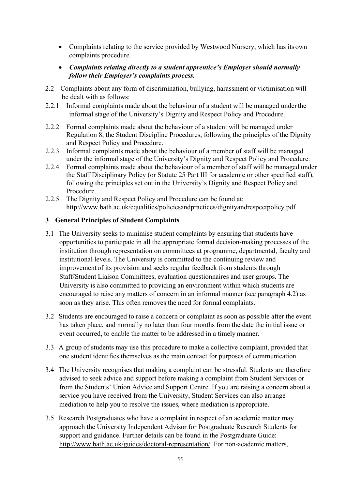- Complaints relating to the service provided by Westwood Nursery, which has its own complaints procedure.
- *Complaints relating directly to a student apprentice's Employer should normally follow their Employer's complaints process.*
- 2.2 Complaints about any form of discrimination, bullying, harassment or victimisation will be dealt with as follows:
- 2.2.1 Informal complaints made about the behaviour of a student will be managed underthe informal stage of the University's Dignity and Respect Policy and Procedure.
- 2.2.2 Formal complaints made about the behaviour of a student will be managed under Regulation 8, the Student Discipline Procedures, following the principles of the Dignity and Respect Policy and Procedure.
- 2.2.3 Informal complaints made about the behaviour of a member of staff will be managed under the informal stage of the University's Dignity and Respect Policy and Procedure.
- 2.2.4 Formal complaints made about the behaviour of a member of staff will be managed under the Staff Disciplinary Policy (or Statute 25 Part III for academic or other specified staff), following the principles set out in the University's Dignity and Respect Policy and Procedure.
- 2.2.5 The Dignity and Respect Policy and Procedure can be found at: <http://www.bath.ac.uk/equalities/policiesandpractices/dignityandrespectpolicy.pdf>

# **3 General Principles of Student Complaints**

- 3.1 The University seeks to minimise student complaints by ensuring that students have opportunities to participate in all the appropriate formal decision-making processes of the institution through representation on committees at programme, departmental, faculty and institutional levels. The University is committed to the continuing review and improvement of its provision and seeks regular feedback from students through Staff/Student Liaison Committees, evaluation questionnaires and user groups. The University is also committed to providing an environment within which students are encouraged to raise any matters of concern in an informal manner (see paragraph 4.2) as soon as they arise. This often removes the need for formal complaints.
- 3.2 Students are encouraged to raise a concern or complaint as soon as possible after the event has taken place, and normally no later than four months from the date the initial issue or event occurred, to enable the matter to be addressed in a timely manner.
- 3.3 A group of students may use this procedure to make a collective complaint, provided that one student identifies themselves as the main contact for purposes of communication.
- 3.4 The University recognises that making a complaint can be stressful. Students are therefore advised to seek advice and support before making a complaint from Student Services or from the Students' Union Advice and Support Centre. If you are raising a concern about a service you have received from the University, Student Services can also arrange mediation to help you to resolve the issues, where mediation is appropriate.
- 3.5 Research Postgraduates who have a complaint in respect of an academic matter may approach the University Independent Advisor for Postgraduate Research Students for support and guidance. Further details can be found in the Postgraduate Guide: [http://www.bath.ac.uk/guides/doctoral-representation/.](http://www.bath.ac.uk/guides/doctoral-representation/) For non-academic matters,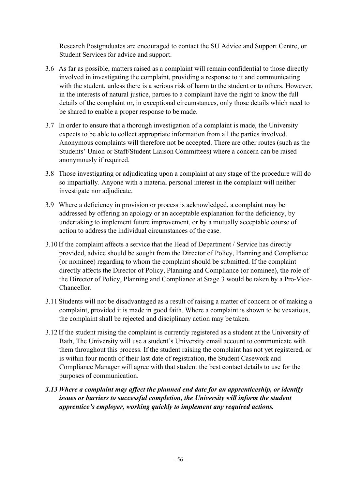Research Postgraduates are encouraged to contact the SU Advice and Support Centre, or Student Services for advice and support.

- 3.6 As far as possible, matters raised as a complaint will remain confidential to those directly involved in investigating the complaint, providing a response to it and communicating with the student, unless there is a serious risk of harm to the student or to others. However, in the interests of natural justice, parties to a complaint have the right to know the full details of the complaint or, in exceptional circumstances, only those details which need to be shared to enable a proper response to be made.
- 3.7 In order to ensure that a thorough investigation of a complaint is made, the University expects to be able to collect appropriate information from all the parties involved. Anonymous complaints will therefore not be accepted. There are other routes (such as the Students' Union or Staff/Student Liaison Committees) where a concern can be raised anonymously if required.
- 3.8 Those investigating or adjudicating upon a complaint at any stage of the procedure will do so impartially. Anyone with a material personal interest in the complaint will neither investigate nor adjudicate.
- 3.9 Where a deficiency in provision or process is acknowledged, a complaint may be addressed by offering an apology or an acceptable explanation for the deficiency, by undertaking to implement future improvement, or by a mutually acceptable course of action to address the individual circumstances of the case.
- 3.10 If the complaint affects a service that the Head of Department / Service has directly provided, advice should be sought from the Director of Policy, Planning and Compliance (or nominee) regarding to whom the complaint should be submitted. If the complaint directly affects the Director of Policy, Planning and Compliance (or nominee), the role of the Director of Policy, Planning and Compliance at Stage 3 would be taken by a Pro-Vice-Chancellor.
- 3.11 Students will not be disadvantaged as a result of raising a matter of concern or of making a complaint, provided it is made in good faith. Where a complaint is shown to be vexatious, the complaint shall be rejected and disciplinary action may be taken.
- 3.12 If the student raising the complaint is currently registered as a student at the University of Bath, The University will use a student's University email account to communicate with them throughout this process. If the student raising the complaint has not yet registered, or is within four month of their last date of registration, the Student Casework and Compliance Manager will agree with that student the best contact details to use for the purposes of communication.
- *3.13 Where a complaint may affect the planned end date for an apprenticeship, or identify issues or barriers to successful completion, the University will inform the student apprentice's employer, working quickly to implement any required actions.*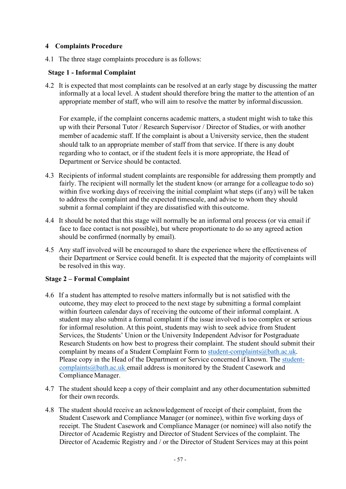# **4 Complaints Procedure**

4.1 The three stage complaints procedure is as follows:

## **Stage 1 - Informal Complaint**

4.2 It is expected that most complaints can be resolved at an early stage by discussing the matter informally at a local level. A student should therefore bring the matter to the attention of an appropriate member of staff, who will aim to resolve the matter by informal discussion.

For example, if the complaint concerns academic matters, a student might wish to take this up with their Personal Tutor / Research Supervisor / Director of Studies, or with another member of academic staff. If the complaint is about a University service, then the student should talk to an appropriate member of staff from that service. If there is any doubt regarding who to contact, or if the student feels it is more appropriate, the Head of Department or Service should be contacted.

- 4.3 Recipients of informal student complaints are responsible for addressing them promptly and fairly. The recipient will normally let the student know (or arrange for a colleague todo so) within five working days of receiving the initial complaint what steps (if any) will be taken to address the complaint and the expected timescale, and advise to whom they should submit a formal complaint if they are dissatisfied with this outcome.
- 4.4 It should be noted that this stage will normally be an informal oral process (or via email if face to face contact is not possible), but where proportionate to do so any agreed action should be confirmed (normally by email).
- 4.5 Any staff involved will be encouraged to share the experience where the effectiveness of their Department or Service could benefit. It is expected that the majority of complaints will be resolved in this way.

# **Stage 2 – Formal Complaint**

- 4.6 If a student has attempted to resolve matters informally but is not satisfied with the outcome, they may elect to proceed to the next stage by submitting a formal complaint within fourteen calendar days of receiving the outcome of their informal complaint. A student may also submit a formal complaint if the issue involved is too complex or serious for informal resolution. At this point, students may wish to seek advice from Student Services, the Students' Union or the University Independent Advisor for Postgraduate Research Students on how best to progress their complaint. The student should submit their complaint by means of a Student Complaint Form to [student-complaints@bath.ac.uk.](mailto:student-complaints@bath.ac.uk) Please copy in the Head of the Department or Service concerned if known. The [student](mailto:student-complaints@bath.ac.uk)[complaints@bath.ac.uk e](mailto:student-complaints@bath.ac.uk)mail address is monitored by the Student Casework and Compliance Manager.
- 4.7 The student should keep a copy of their complaint and any other documentation submitted for their own records.
- 4.8 The student should receive an acknowledgement of receipt of their complaint, from the Student Casework and Compliance Manager (or nominee), within five working days of receipt. The Student Casework and Compliance Manager (or nominee) will also notify the Director of Academic Registry and Director of Student Services of the complaint. The Director of Academic Registry and / or the Director of Student Services may at this point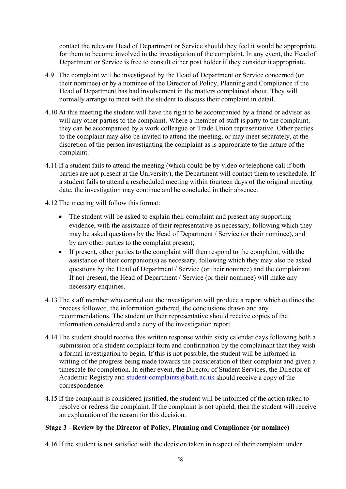contact the relevant Head of Department or Service should they feel it would be appropriate for them to become involved in the investigation of the complaint. In any event, the Head of Department or Service is free to consult either post holder if they consider it appropriate.

- 4.9 The complaint will be investigated by the Head of Department or Service concerned (or their nominee) or by a nominee of the Director of Policy, Planning and Compliance if the Head of Department has had involvement in the matters complained about. They will normally arrange to meet with the student to discuss their complaint in detail.
- 4.10 At this meeting the student will have the right to be accompanied by a friend or advisor as will any other parties to the complaint. Where a member of staff is party to the complaint, they can be accompanied by a work colleague or Trade Union representative. Other parties to the complaint may also be invited to attend the meeting, or may meet separately, at the discretion of the person investigating the complaint as is appropriate to the nature of the complaint.
- 4.11 If a student fails to attend the meeting (which could be by video or telephone call if both parties are not present at the University), the Department will contact them to reschedule. If a student fails to attend a rescheduled meeting within fourteen days of the original meeting date, the investigation may continue and be concluded in their absence.
- 4.12 The meeting will follow this format:
	- The student will be asked to explain their complaint and present any supporting evidence, with the assistance of their representative as necessary, following which they may be asked questions by the Head of Department / Service (or their nominee), and by any other parties to the complaint present;
	- If present, other parties to the complaint will then respond to the complaint, with the assistance of their companion(s) as necessary, following which they may also be asked questions by the Head of Department / Service (or their nominee) and the complainant. If not present, the Head of Department / Service (or their nominee) will make any necessary enquiries.
- 4.13 The staff member who carried out the investigation will produce a report which outlines the process followed, the information gathered, the conclusions drawn and any recommendations. The student or their representative should receive copies of the information considered and a copy of the investigation report.
- 4.14 The student should receive this written response within sixty calendar days following both a submission of a student complaint form and confirmation by the complainant that they wish a formal investigation to begin. If this is not possible, the student will be informed in writing of the progress being made towards the consideration of their complaint and given a timescale for completion. In either event, the Director of Student Services, the Director of Academic Registry and [student-complaints@bath.ac.uk s](mailto:student-complaints@bath.ac.uk)hould receive a copy of the correspondence.
- 4.15 If the complaint is considered justified, the student will be informed of the action taken to resolve or redress the complaint. If the complaint is not upheld, then the student will receive an explanation of the reason for this decision.

## **Stage 3 - Review by the Director of Policy, Planning and Compliance (or nominee)**

4.16 If the student is not satisfied with the decision taken in respect of their complaint under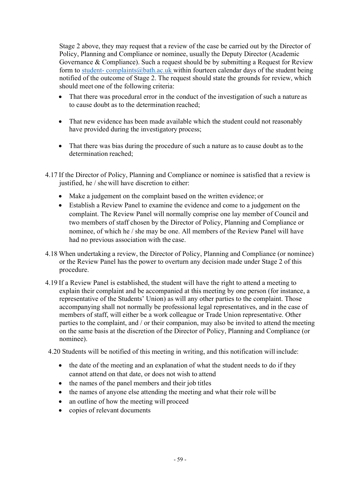Stage 2 above, they may request that a review of the case be carried out by the Director of Policy, Planning and Compliance or nominee, usually the Deputy Director (Academic Governance & Compliance). Such a request should be by submitting a Request for Review form to [student-](mailto:student-complaints@bath.ac.uk) [complaints@bath.ac.uk w](mailto:student-complaints@bath.ac.uk)ithin fourteen calendar days of the student being notified of the outcome of Stage 2. The request should state the grounds for review, which should meet one of the following criteria:

- That there was procedural error in the conduct of the investigation of such a nature as to cause doubt as to the determination reached;
- That new evidence has been made available which the student could not reasonably have provided during the investigatory process;
- That there was bias during the procedure of such a nature as to cause doubt as to the determination reached;
- 4.17 If the Director of Policy, Planning and Compliance or nominee is satisfied that a review is justified, he / shewill have discretion to either:
	- Make a judgement on the complaint based on the written evidence; or
	- Establish a Review Panel to examine the evidence and come to a judgement on the complaint. The Review Panel will normally comprise one lay member of Council and two members of staff chosen by the Director of Policy, Planning and Compliance or nominee, of which he / she may be one. All members of the Review Panel will have had no previous association with the case.
- 4.18 When undertaking a review, the Director of Policy, Planning and Compliance (or nominee) or the Review Panel has the power to overturn any decision made under Stage 2 of this procedure.
- 4.19 If a Review Panel is established, the student will have the right to attend a meeting to explain their complaint and be accompanied at this meeting by one person (for instance, a representative of the Students' Union) as will any other parties to the complaint. Those accompanying shall not normally be professional legal representatives, and in the case of members of staff, will either be a work colleague or Trade Union representative. Other parties to the complaint, and / or their companion, may also be invited to attend the meeting on the same basis at the discretion of the Director of Policy, Planning and Compliance (or nominee).
- 4.20 Students will be notified of this meeting in writing, and this notification will include:
	- the date of the meeting and an explanation of what the student needs to do if they cannot attend on that date, or does not wish to attend
	- the names of the panel members and their job titles
	- the names of anyone else attending the meeting and what their role will be
	- an outline of how the meeting will proceed
	- copies of relevant documents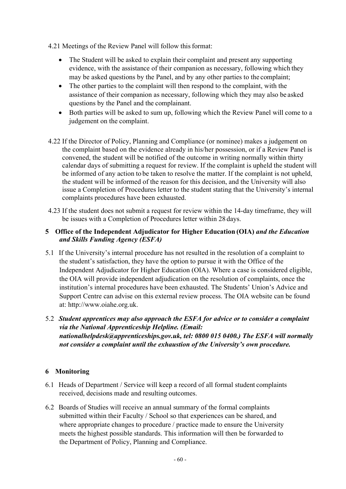- 4.21 Meetings of the Review Panel will follow this format:
	- The Student will be asked to explain their complaint and present any supporting evidence, with the assistance of their companion as necessary, following which they may be asked questions by the Panel, and by any other parties to the complaint;
	- The other parties to the complaint will then respond to the complaint, with the assistance of their companion as necessary, following which they may also be asked questions by the Panel and the complainant.
	- Both parties will be asked to sum up, following which the Review Panel will come to a judgement on the complaint.
- 4.22 If the Director of Policy, Planning and Compliance (or nominee) makes a judgement on the complaint based on the evidence already in his/her possession, or if a Review Panel is convened, the student will be notified of the outcome in writing normally within thirty calendar days of submitting a request for review. If the complaint is upheld the student will be informed of any action to be taken to resolve the matter. If the complaint is not upheld, the student will be informed of the reason for this decision, and the University will also issue a Completion of Procedures letter to the student stating that the University's internal complaints procedures have been exhausted.
- 4.23 If the student does not submit a request for review within the 14-day timeframe, they will be issues with a Completion of Procedures letter within 28 days.

# **5 Office of the Independent Adjudicator for Higher Education (OIA)** *and the Education and Skills Funding Agency (ESFA)*

- 5.1 If the University's internal procedure has not resulted in the resolution of a complaint to the student's satisfaction, they have the option to pursue it with the Office of the Independent Adjudicator for Higher Education (OIA). Where a case is considered eligible, the OIA will provide independent adjudication on the resolution of complaints, once the institution's internal procedures have been exhausted. The Students' Union's Advice and Support Centre can advise on this external review process. The OIA website can be found at: [http://www.oiahe.org.uk.](http://www.oiahe.org.uk/)
- 5.2 *Student apprentices may also approach the ESFA for advice or to consider a complaint via the National Apprenticeship Helpline. (Email: nationalhelpdesk@apprenticeships.gov.uk, tel: 0800 015 0400.) The ESFA will normally not consider a complaint until the exhaustion of the University's own procedure.*

# **6 Monitoring**

- 6.1 Heads of Department / Service will keep a record of all formal student complaints received, decisions made and resulting outcomes.
- 6.2 Boards of Studies will receive an annual summary of the formal complaints submitted within their Faculty / School so that experiences can be shared, and where appropriate changes to procedure / practice made to ensure the University meets the highest possible standards. This information will then be forwarded to the Department of Policy, Planning and Compliance.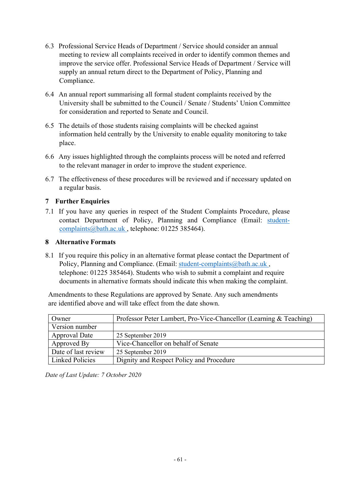- 6.3 Professional Service Heads of Department / Service should consider an annual meeting to review all complaints received in order to identify common themes and improve the service offer. Professional Service Heads of Department / Service will supply an annual return direct to the Department of Policy, Planning and Compliance.
- 6.4 An annual report summarising all formal student complaints received by the University shall be submitted to the Council / Senate / Students' Union Committee for consideration and reported to Senate and Council.
- 6.5 The details of those students raising complaints will be checked against information held centrally by the University to enable equality monitoring to take place.
- 6.6 Any issues highlighted through the complaints process will be noted and referred to the relevant manager in order to improve the student experience.
- 6.7 The effectiveness of these procedures will be reviewed and if necessary updated on a regular basis.

# **7 Further Enquiries**

7.1 If you have any queries in respect of the Student Complaints Procedure, please contact Department of Policy, Planning and Compliance (Email: [student](mailto:student-complaints@bath.ac.uk)[complaints@bath.ac.uk ,](mailto:student-complaints@bath.ac.uk) telephone: 01225 385464).

# **8 Alternative Formats**

8.1 If you require this policy in an alternative format please contact the Department of Policy, Planning and Compliance. (Email: student-complaints@bath.ac.uk, telephone: 01225 385464). Students who wish to submit a complaint and require documents in alternative formats should indicate this when making the complaint.

Amendments to these Regulations are approved by Senate. Any such amendments are identified above and will take effect from the date shown.

| Owner                  | Professor Peter Lambert, Pro-Vice-Chancellor (Learning & Teaching) |  |  |  |  |
|------------------------|--------------------------------------------------------------------|--|--|--|--|
| Version number         |                                                                    |  |  |  |  |
| Approval Date          | 25 September 2019                                                  |  |  |  |  |
| Approved By            | Vice-Chancellor on behalf of Senate                                |  |  |  |  |
| Date of last review    | 25 September 2019                                                  |  |  |  |  |
| <b>Linked Policies</b> | Dignity and Respect Policy and Procedure                           |  |  |  |  |

|  |  | Date of Last Update: 7 October 2020 |  |
|--|--|-------------------------------------|--|
|  |  |                                     |  |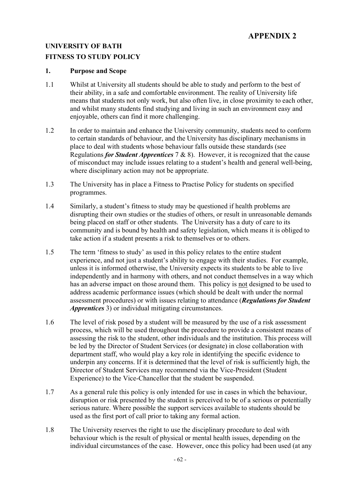# **APPENDIX 2**

# **UNIVERSITY OF BATH**

### **FITNESS TO STUDY POLICY**

#### **1. Purpose and Scope**

- 1.1 Whilst at University all students should be able to study and perform to the best of their ability, in a safe and comfortable environment. The reality of University life means that students not only work, but also often live, in close proximity to each other, and whilst many students find studying and living in such an environment easy and enjoyable, others can find it more challenging.
- 1.2 In order to maintain and enhance the University community, students need to conform to certain standards of behaviour, and the University has disciplinary mechanisms in place to deal with students whose behaviour falls outside these standards (see Regulations *for Student Apprentices* 7 & 8). However, it is recognized that the cause of misconduct may include issues relating to a student's health and general well-being, where disciplinary action may not be appropriate.
- 1.3 The University has in place a Fitness to Practise Policy for students on specified programmes.
- 1.4 Similarly, a student's fitness to study may be questioned if health problems are disrupting their own studies or the studies of others, or result in unreasonable demands being placed on staff or other students. The University has a duty of care to its community and is bound by health and safety legislation, which means it is obliged to take action if a student presents a risk to themselves or to others.
- 1.5 The term 'fitness to study' as used in this policy relates to the entire student experience, and not just a student's ability to engage with their studies. For example, unless it is informed otherwise, the University expects its students to be able to live independently and in harmony with others, and not conduct themselves in a way which has an adverse impact on those around them. This policy is not designed to be used to address academic performance issues (which should be dealt with under the normal assessment procedures) or with issues relating to attendance (*Regulations for Student Apprentices* 3) or individual mitigating circumstances.
- 1.6 The level of risk posed by a student will be measured by the use of a risk assessment process, which will be used throughout the procedure to provide a consistent means of assessing the risk to the student, other individuals and the institution. This process will be led by the Director of Student Services (or designate) in close collaboration with department staff, who would play a key role in identifying the specific evidence to underpin any concerns. If it is determined that the level of risk is sufficiently high, the Director of Student Services may recommend via the Vice-President (Student Experience) to the Vice-Chancellor that the student be suspended.
- 1.7 As a general rule this policy is only intended for use in cases in which the behaviour, disruption or risk presented by the student is perceived to be of a serious or potentially serious nature. Where possible the support services available to students should be used as the first port of call prior to taking any formal action.
- 1.8 The University reserves the right to use the disciplinary procedure to deal with behaviour which is the result of physical or mental health issues, depending on the individual circumstances of the case. However, once this policy had been used (at any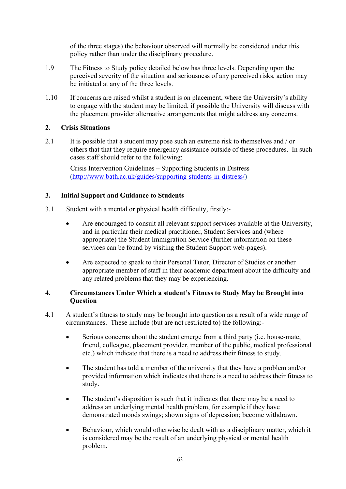of the three stages) the behaviour observed will normally be considered under this policy rather than under the disciplinary procedure.

- 1.9 The Fitness to Study policy detailed below has three levels. Depending upon the perceived severity of the situation and seriousness of any perceived risks, action may be initiated at any of the three levels.
- 1.10 If concerns are raised whilst a student is on placement, where the University's ability to engage with the student may be limited, if possible the University will discuss with the placement provider alternative arrangements that might address any concerns.

# **2. Crisis Situations**

2.1 It is possible that a student may pose such an extreme risk to themselves and / or others that that they require emergency assistance outside of these procedures. In such cases staff should refer to the following:

Crisis Intervention Guidelines – Supporting Students in Distress [\(http://www.bath.ac.uk/guides/supporting-students-in-distress/\)](http://www.bath.ac.uk/guides/supporting-students-in-distress/)

# **3. Initial Support and Guidance to Students**

- 3.1 Student with a mental or physical health difficulty, firstly:-
	- Are encouraged to consult all relevant support services available at the University, and in particular their medical practitioner, Student Services and (where appropriate) the Student Immigration Service (further information on these services can be found by visiting the Student Support web-pages).
	- Are expected to speak to their Personal Tutor, Director of Studies or another appropriate member of staff in their academic department about the difficulty and any related problems that they may be experiencing.

## **4. Circumstances Under Which a student's Fitness to Study May be Brought into Question**

- 4.1 A student's fitness to study may be brought into question as a result of a wide range of circumstances. These include (but are not restricted to) the following:-
	- Serious concerns about the student emerge from a third party (i.e. house-mate, friend, colleague, placement provider, member of the public, medical professional etc.) which indicate that there is a need to address their fitness to study.
	- The student has told a member of the university that they have a problem and/or provided information which indicates that there is a need to address their fitness to study.
	- The student's disposition is such that it indicates that there may be a need to address an underlying mental health problem, for example if they have demonstrated moods swings; shown signs of depression; become withdrawn.
	- Behaviour, which would otherwise be dealt with as a disciplinary matter, which it is considered may be the result of an underlying physical or mental health problem.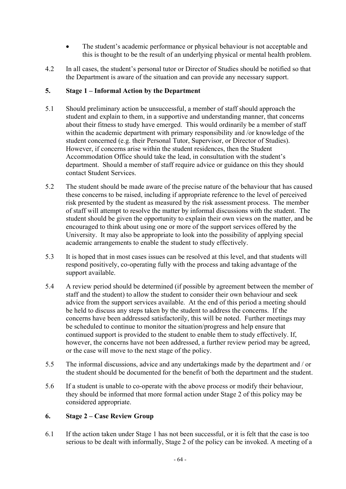- The student's academic performance or physical behaviour is not acceptable and this is thought to be the result of an underlying physical or mental health problem.
- 4.2 In all cases, the student's personal tutor or Director of Studies should be notified so that the Department is aware of the situation and can provide any necessary support.

# **5. Stage 1 – Informal Action by the Department**

- 5.1 Should preliminary action be unsuccessful, a member of staff should approach the student and explain to them, in a supportive and understanding manner, that concerns about their fitness to study have emerged. This would ordinarily be a member of staff within the academic department with primary responsibility and /or knowledge of the student concerned (e.g. their Personal Tutor, Supervisor, or Director of Studies). However, if concerns arise within the student residences, then the Student Accommodation Office should take the lead, in consultation with the student's department. Should a member of staff require advice or guidance on this they should contact Student Services.
- 5.2 The student should be made aware of the precise nature of the behaviour that has caused these concerns to be raised, including if appropriate reference to the level of perceived risk presented by the student as measured by the risk assessment process. The member of staff will attempt to resolve the matter by informal discussions with the student. The student should be given the opportunity to explain their own views on the matter, and be encouraged to think about using one or more of the support services offered by the University. It may also be appropriate to look into the possibility of applying special academic arrangements to enable the student to study effectively.
- 5.3 It is hoped that in most cases issues can be resolved at this level, and that students will respond positively, co-operating fully with the process and taking advantage of the support available.
- 5.4 A review period should be determined (if possible by agreement between the member of staff and the student) to allow the student to consider their own behaviour and seek advice from the support services available. At the end of this period a meeting should be held to discuss any steps taken by the student to address the concerns. If the concerns have been addressed satisfactorily, this will be noted. Further meetings may be scheduled to continue to monitor the situation/progress and help ensure that continued support is provided to the student to enable them to study effectively. If, however, the concerns have not been addressed, a further review period may be agreed, or the case will move to the next stage of the policy.
- 5.5 The informal discussions, advice and any undertakings made by the department and / or the student should be documented for the benefit of both the department and the student.
- 5.6 If a student is unable to co-operate with the above process or modify their behaviour, they should be informed that more formal action under Stage 2 of this policy may be considered appropriate.

## **6. Stage 2 – Case Review Group**

6.1 If the action taken under Stage 1 has not been successful, or it is felt that the case is too serious to be dealt with informally, Stage 2 of the policy can be invoked. A meeting of a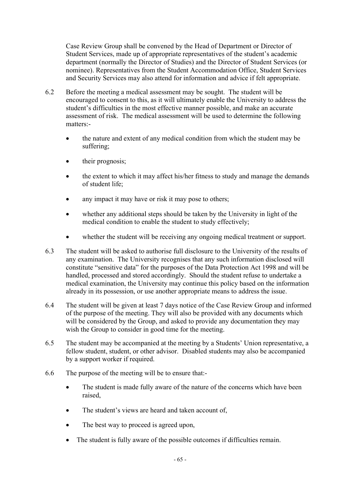Case Review Group shall be convened by the Head of Department or Director of Student Services, made up of appropriate representatives of the student's academic department (normally the Director of Studies) and the Director of Student Services (or nominee). Representatives from the Student Accommodation Office, Student Services and Security Services may also attend for information and advice if felt appropriate.

- 6.2 Before the meeting a medical assessment may be sought. The student will be encouraged to consent to this, as it will ultimately enable the University to address the student's difficulties in the most effective manner possible, and make an accurate assessment of risk. The medical assessment will be used to determine the following matters:-
	- the nature and extent of any medical condition from which the student may be suffering;
	- their prognosis;
	- the extent to which it may affect his/her fitness to study and manage the demands of student life;
	- any impact it may have or risk it may pose to others;
	- whether any additional steps should be taken by the University in light of the medical condition to enable the student to study effectively;
	- whether the student will be receiving any ongoing medical treatment or support.
- 6.3 The student will be asked to authorise full disclosure to the University of the results of any examination. The University recognises that any such information disclosed will constitute "sensitive data" for the purposes of the Data Protection Act 1998 and will be handled, processed and stored accordingly. Should the student refuse to undertake a medical examination, the University may continue this policy based on the information already in its possession, or use another appropriate means to address the issue.
- 6.4 The student will be given at least 7 days notice of the Case Review Group and informed of the purpose of the meeting. They will also be provided with any documents which will be considered by the Group, and asked to provide any documentation they may wish the Group to consider in good time for the meeting.
- 6.5 The student may be accompanied at the meeting by a Students' Union representative, a fellow student, student, or other advisor. Disabled students may also be accompanied by a support worker if required.
- 6.6 The purpose of the meeting will be to ensure that:-
	- The student is made fully aware of the nature of the concerns which have been raised,
	- The student's views are heard and taken account of,
	- The best way to proceed is agreed upon,
	- The student is fully aware of the possible outcomes if difficulties remain.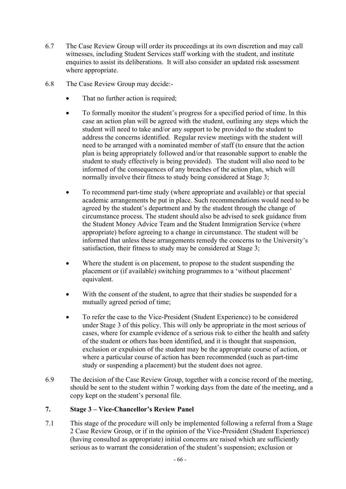- 6.7 The Case Review Group will order its proceedings at its own discretion and may call witnesses, including Student Services staff working with the student, and institute enquiries to assist its deliberations. It will also consider an updated risk assessment where appropriate.
- 6.8 The Case Review Group may decide:-
	- That no further action is required;
	- To formally monitor the student's progress for a specified period of time. In this case an action plan will be agreed with the student, outlining any steps which the student will need to take and/or any support to be provided to the student to address the concerns identified. Regular review meetings with the student will need to be arranged with a nominated member of staff (to ensure that the action plan is being appropriately followed and/or that reasonable support to enable the student to study effectively is being provided). The student will also need to be informed of the consequences of any breaches of the action plan, which will normally involve their fitness to study being considered at Stage 3;
	- To recommend part-time study (where appropriate and available) or that special academic arrangements be put in place. Such recommendations would need to be agreed by the student's department and by the student through the change of circumstance process. The student should also be advised to seek guidance from the Student Money Advice Team and the Student Immigration Service (where appropriate) before agreeing to a change in circumstance. The student will be informed that unless these arrangements remedy the concerns to the University's satisfaction, their fitness to study may be considered at Stage 3;
	- Where the student is on placement, to propose to the student suspending the placement or (if available) switching programmes to a 'without placement' equivalent.
	- With the consent of the student, to agree that their studies be suspended for a mutually agreed period of time;
	- To refer the case to the Vice-President (Student Experience) to be considered under Stage 3 of this policy. This will only be appropriate in the most serious of cases, where for example evidence of a serious risk to either the health and safety of the student or others has been identified, and it is thought that suspension, exclusion or expulsion of the student may be the appropriate course of action, or where a particular course of action has been recommended (such as part-time study or suspending a placement) but the student does not agree.
- 6.9 The decision of the Case Review Group, together with a concise record of the meeting, should be sent to the student within 7 working days from the date of the meeting, and a copy kept on the student's personal file.

## **7. Stage 3 – Vice-Chancellor's Review Panel**

7.1 This stage of the procedure will only be implemented following a referral from a Stage 2 Case Review Group, or if in the opinion of the Vice-President (Student Experience) (having consulted as appropriate) initial concerns are raised which are sufficiently serious as to warrant the consideration of the student's suspension; exclusion or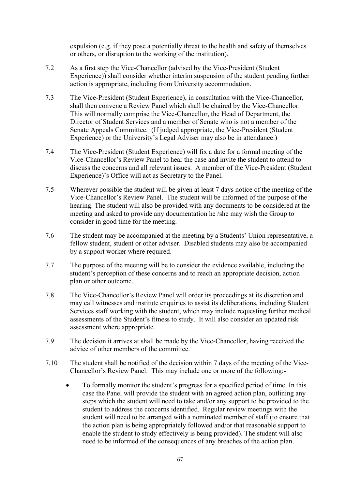expulsion (e.g. if they pose a potentially threat to the health and safety of themselves or others, or disruption to the working of the institution).

- 7.2 As a first step the Vice-Chancellor (advised by the Vice-President (Student Experience)) shall consider whether interim suspension of the student pending further action is appropriate, including from University accommodation.
- 7.3 The Vice-President (Student Experience), in consultation with the Vice-Chancellor, shall then convene a Review Panel which shall be chaired by the Vice-Chancellor. This will normally comprise the Vice-Chancellor, the Head of Department, the Director of Student Services and a member of Senate who is not a member of the Senate Appeals Committee. (If judged appropriate, the Vice-President (Student Experience) or the University's Legal Adviser may also be in attendance.)
- 7.4 The Vice-President (Student Experience) will fix a date for a formal meeting of the Vice-Chancellor's Review Panel to hear the case and invite the student to attend to discuss the concerns and all relevant issues. A member of the Vice-President (Student Experience)'s Office will act as Secretary to the Panel.
- 7.5 Wherever possible the student will be given at least 7 days notice of the meeting of the Vice-Chancellor's Review Panel. The student will be informed of the purpose of the hearing. The student will also be provided with any documents to be considered at the meeting and asked to provide any documentation he /she may wish the Group to consider in good time for the meeting.
- 7.6 The student may be accompanied at the meeting by a Students' Union representative, a fellow student, student or other adviser. Disabled students may also be accompanied by a support worker where required.
- 7.7 The purpose of the meeting will be to consider the evidence available, including the student's perception of these concerns and to reach an appropriate decision, action plan or other outcome.
- 7.8 The Vice-Chancellor's Review Panel will order its proceedings at its discretion and may call witnesses and institute enquiries to assist its deliberations, including Student Services staff working with the student, which may include requesting further medical assessments of the Student's fitness to study. It will also consider an updated risk assessment where appropriate.
- 7.9 The decision it arrives at shall be made by the Vice-Chancellor, having received the advice of other members of the committee.
- 7.10 The student shall be notified of the decision within 7 days of the meeting of the Vice-Chancellor's Review Panel. This may include one or more of the following:-
	- To formally monitor the student's progress for a specified period of time. In this case the Panel will provide the student with an agreed action plan, outlining any steps which the student will need to take and/or any support to be provided to the student to address the concerns identified. Regular review meetings with the student will need to be arranged with a nominated member of staff (to ensure that the action plan is being appropriately followed and/or that reasonable support to enable the student to study effectively is being provided). The student will also need to be informed of the consequences of any breaches of the action plan.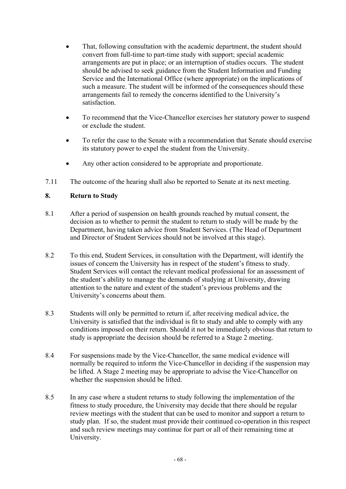- That, following consultation with the academic department, the student should convert from full-time to part-time study with support; special academic arrangements are put in place; or an interruption of studies occurs. The student should be advised to seek guidance from the Student Information and Funding Service and the International Office (where appropriate) on the implications of such a measure. The student will be informed of the consequences should these arrangements fail to remedy the concerns identified to the University's satisfaction.
- To recommend that the Vice-Chancellor exercises her statutory power to suspend or exclude the student.
- To refer the case to the Senate with a recommendation that Senate should exercise its statutory power to expel the student from the University.
- Any other action considered to be appropriate and proportionate.
- 7.11 The outcome of the hearing shall also be reported to Senate at its next meeting.

## **8. Return to Study**

- 8.1 After a period of suspension on health grounds reached by mutual consent, the decision as to whether to permit the student to return to study will be made by the Department, having taken advice from Student Services. (The Head of Department and Director of Student Services should not be involved at this stage).
- 8.2 To this end, Student Services, in consultation with the Department, will identify the issues of concern the University has in respect of the student's fitness to study. Student Services will contact the relevant medical professional for an assessment of the student's ability to manage the demands of studying at University, drawing attention to the nature and extent of the student's previous problems and the University's concerns about them.
- 8.3 Students will only be permitted to return if, after receiving medical advice, the University is satisfied that the individual is fit to study and able to comply with any conditions imposed on their return. Should it not be immediately obvious that return to study is appropriate the decision should be referred to a Stage 2 meeting.
- 8.4 For suspensions made by the Vice-Chancellor, the same medical evidence will normally be required to inform the Vice-Chancellor in deciding if the suspension may be lifted. A Stage 2 meeting may be appropriate to advise the Vice-Chancellor on whether the suspension should be lifted.
- 8.5 In any case where a student returns to study following the implementation of the fitness to study procedure, the University may decide that there should be regular review meetings with the student that can be used to monitor and support a return to study plan. If so, the student must provide their continued co-operation in this respect and such review meetings may continue for part or all of their remaining time at University.